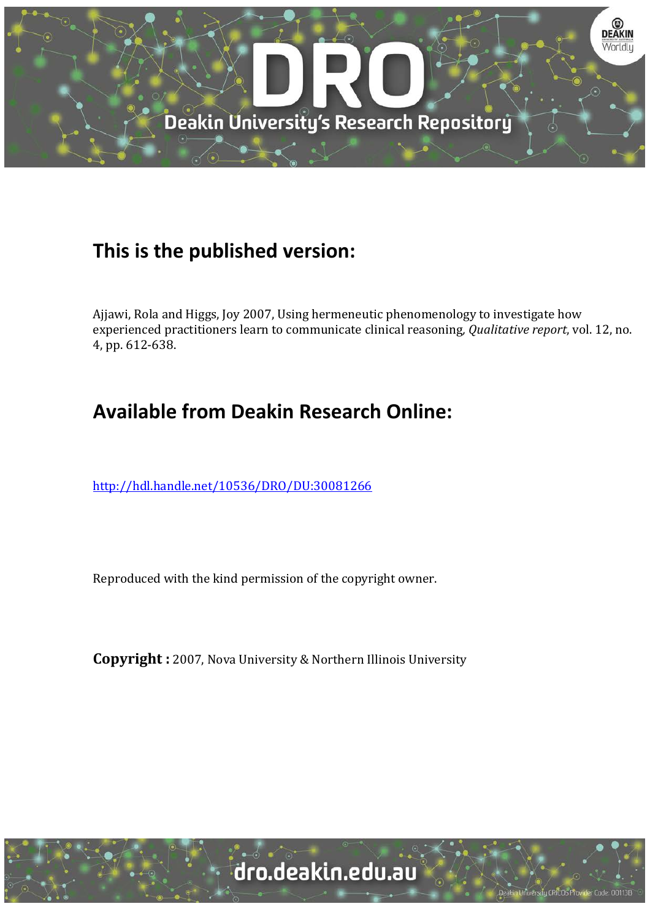

## **This is the published version:**

Ajjawi, Rola and Higgs, Joy 2007, Using hermeneutic phenomenology to investigate how experienced practitioners learn to communicate clinical reasoning*, Qualitative report*, vol. 12, no. 4, pp. 612-638.

# **Available from Deakin Research Online:**

<http://hdl.handle.net/10536/DRO/DU:30081266>

Reproduced with the kind permission of the copyright owner.

**Copyright :** 2007, Nova University & Northern Illinois University

Ly CRICOS Provi

der Code: 001131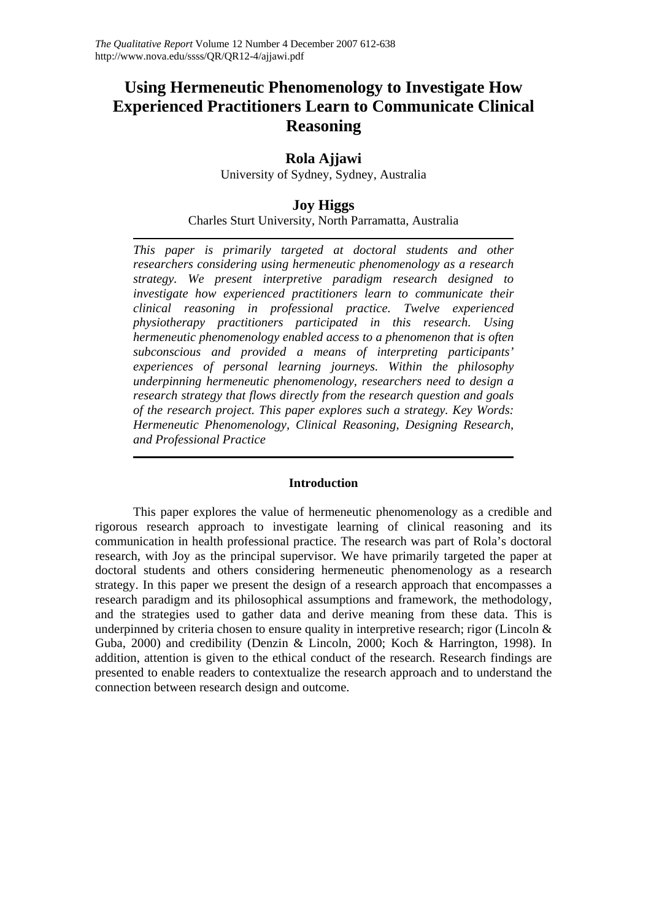## **Using Hermeneutic Phenomenology to Investigate How Experienced Practitioners Learn to Communicate Clinical Reasoning**

## **Rola Ajjawi**

University of Sydney, Sydney, Australia

## **Joy Higgs**

Charles Sturt University, North Parramatta, Australia

*This paper is primarily targeted at doctoral students and other researchers considering using hermeneutic phenomenology as a research strategy. We present interpretive paradigm research designed to investigate how experienced practitioners learn to communicate their clinical reasoning in professional practice. Twelve experienced physiotherapy practitioners participated in this research. Using hermeneutic phenomenology enabled access to a phenomenon that is often subconscious and provided a means of interpreting participants' experiences of personal learning journeys. Within the philosophy underpinning hermeneutic phenomenology, researchers need to design a research strategy that flows directly from the research question and goals of the research project. This paper explores such a strategy. Key Words: Hermeneutic Phenomenology, Clinical Reasoning, Designing Research, and Professional Practice*

## **Introduction**

This paper explores the value of hermeneutic phenomenology as a credible and rigorous research approach to investigate learning of clinical reasoning and its communication in health professional practice. The research was part of Rola's doctoral research, with Joy as the principal supervisor. We have primarily targeted the paper at doctoral students and others considering hermeneutic phenomenology as a research strategy. In this paper we present the design of a research approach that encompasses a research paradigm and its philosophical assumptions and framework, the methodology, and the strategies used to gather data and derive meaning from these data. This is underpinned by criteria chosen to ensure quality in interpretive research; rigor (Lincoln  $\&$ Guba, 2000) and credibility (Denzin & Lincoln, 2000; Koch & Harrington, 1998). In addition, attention is given to the ethical conduct of the research. Research findings are presented to enable readers to contextualize the research approach and to understand the connection between research design and outcome.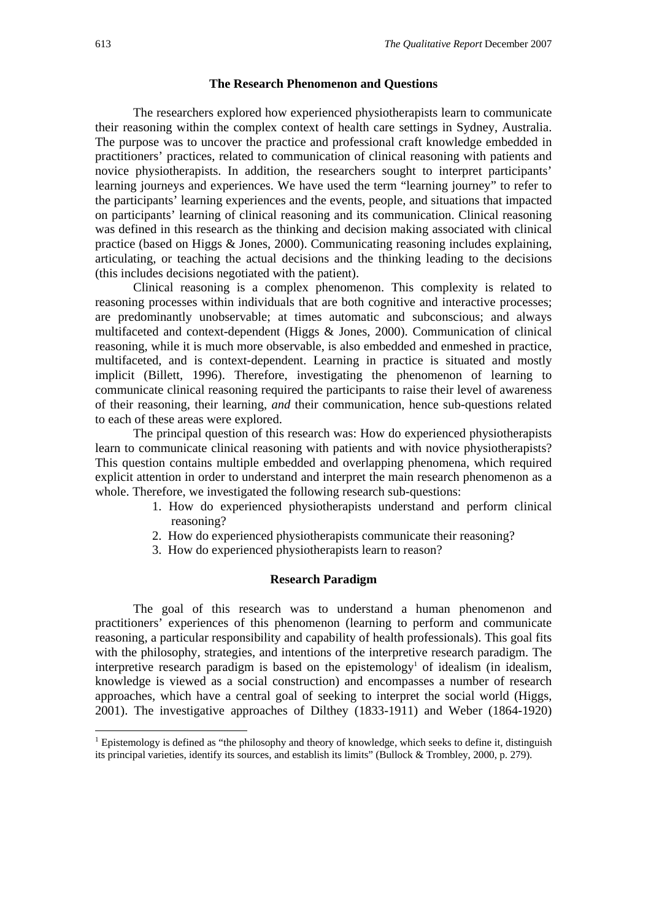#### **The Research Phenomenon and Questions**

The researchers explored how experienced physiotherapists learn to communicate their reasoning within the complex context of health care settings in Sydney, Australia. The purpose was to uncover the practice and professional craft knowledge embedded in practitioners' practices, related to communication of clinical reasoning with patients and novice physiotherapists. In addition, the researchers sought to interpret participants' learning journeys and experiences. We have used the term "learning journey" to refer to the participants' learning experiences and the events, people, and situations that impacted on participants' learning of clinical reasoning and its communication. Clinical reasoning was defined in this research as the thinking and decision making associated with clinical practice (based on Higgs & Jones, 2000). Communicating reasoning includes explaining, articulating, or teaching the actual decisions and the thinking leading to the decisions (this includes decisions negotiated with the patient).

Clinical reasoning is a complex phenomenon. This complexity is related to reasoning processes within individuals that are both cognitive and interactive processes; are predominantly unobservable; at times automatic and subconscious; and always multifaceted and context-dependent (Higgs & Jones, 2000). Communication of clinical reasoning, while it is much more observable, is also embedded and enmeshed in practice, multifaceted, and is context-dependent. Learning in practice is situated and mostly implicit (Billett, 1996). Therefore, investigating the phenomenon of learning to communicate clinical reasoning required the participants to raise their level of awareness of their reasoning, their learning, *and* their communication, hence sub-questions related to each of these areas were explored.

The principal question of this research was: How do experienced physiotherapists learn to communicate clinical reasoning with patients and with novice physiotherapists? This question contains multiple embedded and overlapping phenomena, which required explicit attention in order to understand and interpret the main research phenomenon as a whole. Therefore, we investigated the following research sub-questions:

- 1. How do experienced physiotherapists understand and perform clinical reasoning?
- 2. How do experienced physiotherapists communicate their reasoning?
- 3. How do experienced physiotherapists learn to reason?

#### **Research Paradigm**

The goal of this research was to understand a human phenomenon and practitioners' experiences of this phenomenon (learning to perform and communicate reasoning, a particular responsibility and capability of health professionals). This goal fits with the philosophy, strategies, and intentions of the interpretive research paradigm. The interpretive research paradigm is based on the epistemology<sup>1</sup> of idealism (in idealism, knowledge is viewed as a social construction) and encompasses a number of research approaches, which have a central goal of seeking to interpret the social world (Higgs, 2001). The investigative approaches of Dilthey (1833-1911) and Weber (1864-1920)

-

<sup>&</sup>lt;sup>1</sup> Epistemology is defined as "the philosophy and theory of knowledge, which seeks to define it, distinguish its principal varieties, identify its sources, and establish its limits" (Bullock & Trombley, 2000, p. 279).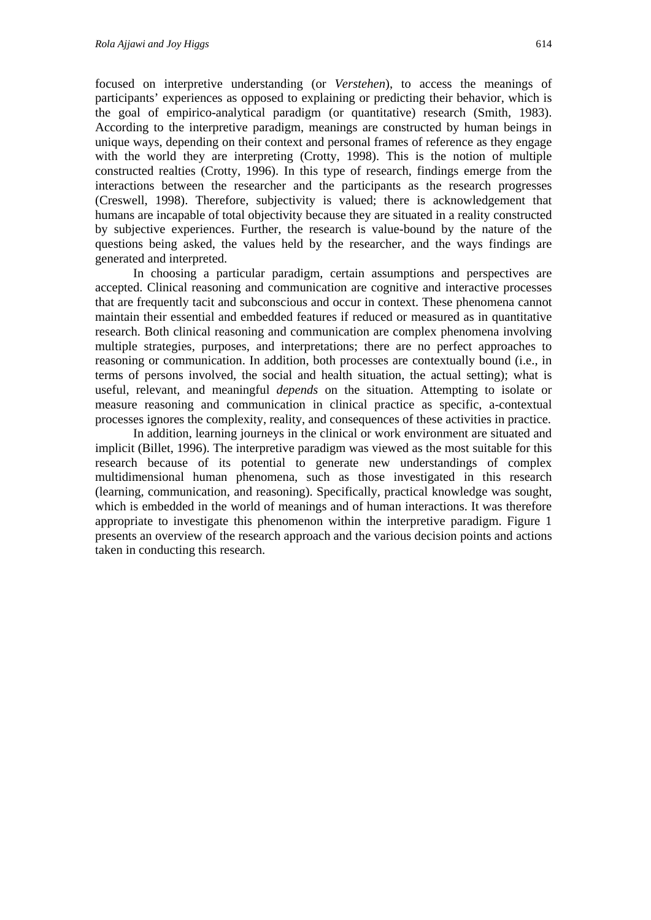focused on interpretive understanding (or *Verstehen*), to access the meanings of participants' experiences as opposed to explaining or predicting their behavior, which is the goal of empirico-analytical paradigm (or quantitative) research (Smith, 1983). According to the interpretive paradigm, meanings are constructed by human beings in unique ways, depending on their context and personal frames of reference as they engage with the world they are interpreting (Crotty, 1998). This is the notion of multiple constructed realties (Crotty, 1996). In this type of research, findings emerge from the interactions between the researcher and the participants as the research progresses (Creswell, 1998). Therefore, subjectivity is valued; there is acknowledgement that humans are incapable of total objectivity because they are situated in a reality constructed by subjective experiences. Further, the research is value-bound by the nature of the questions being asked, the values held by the researcher, and the ways findings are generated and interpreted.

In choosing a particular paradigm, certain assumptions and perspectives are accepted. Clinical reasoning and communication are cognitive and interactive processes that are frequently tacit and subconscious and occur in context. These phenomena cannot maintain their essential and embedded features if reduced or measured as in quantitative research. Both clinical reasoning and communication are complex phenomena involving multiple strategies, purposes, and interpretations; there are no perfect approaches to reasoning or communication. In addition, both processes are contextually bound (i.e., in terms of persons involved, the social and health situation, the actual setting); what is useful, relevant, and meaningful *depends* on the situation. Attempting to isolate or measure reasoning and communication in clinical practice as specific, a-contextual processes ignores the complexity, reality, and consequences of these activities in practice.

In addition, learning journeys in the clinical or work environment are situated and implicit (Billet, 1996). The interpretive paradigm was viewed as the most suitable for this research because of its potential to generate new understandings of complex multidimensional human phenomena, such as those investigated in this research (learning, communication, and reasoning). Specifically, practical knowledge was sought, which is embedded in the world of meanings and of human interactions. It was therefore appropriate to investigate this phenomenon within the interpretive paradigm. Figure 1 presents an overview of the research approach and the various decision points and actions taken in conducting this research.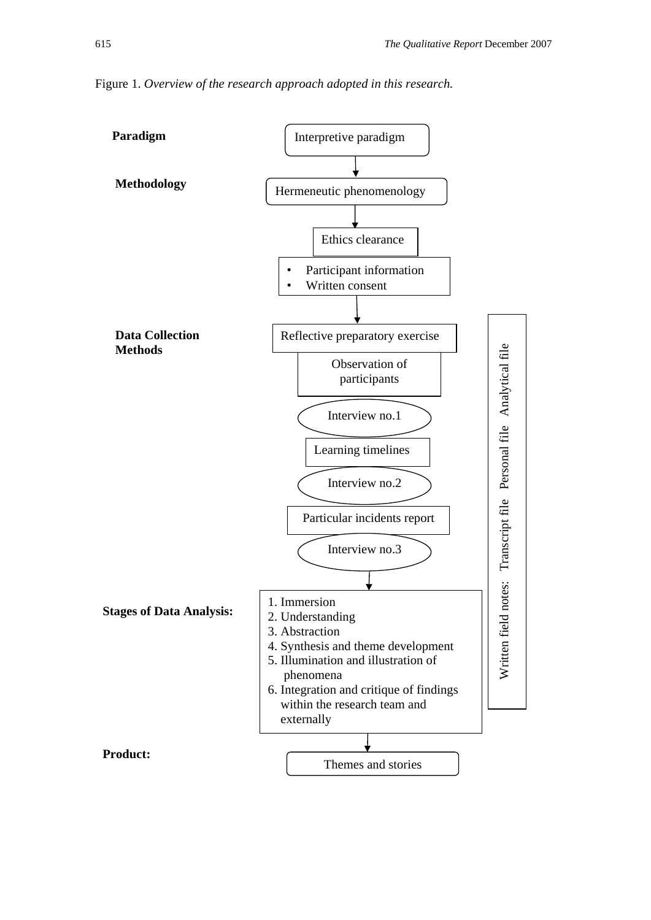

Figure 1. *Overview of the research approach adopted in this research.*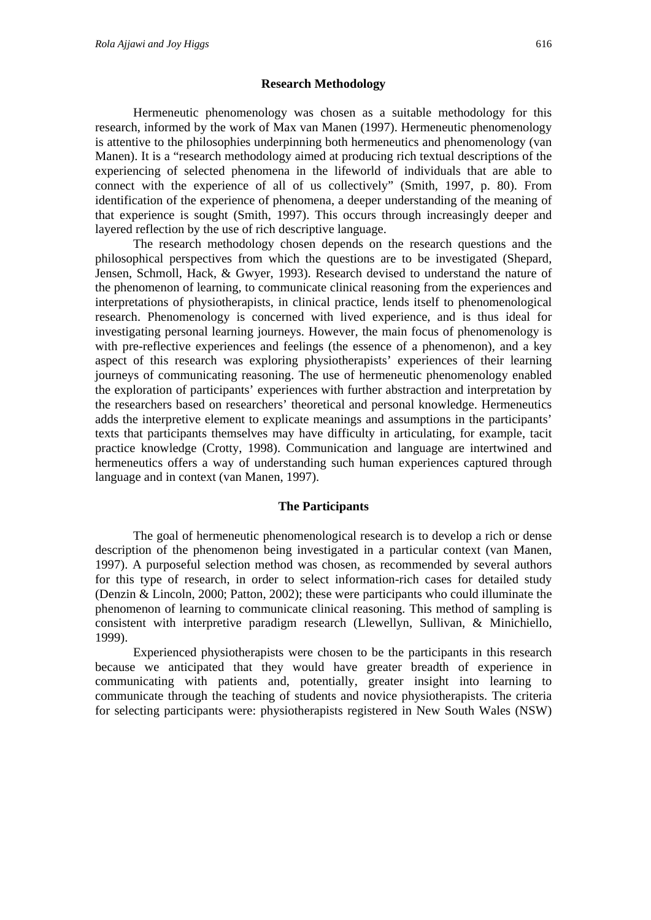#### **Research Methodology**

Hermeneutic phenomenology was chosen as a suitable methodology for this research, informed by the work of Max van Manen (1997). Hermeneutic phenomenology is attentive to the philosophies underpinning both hermeneutics and phenomenology (van Manen). It is a "research methodology aimed at producing rich textual descriptions of the experiencing of selected phenomena in the lifeworld of individuals that are able to connect with the experience of all of us collectively" (Smith, 1997, p. 80). From identification of the experience of phenomena, a deeper understanding of the meaning of that experience is sought (Smith, 1997). This occurs through increasingly deeper and layered reflection by the use of rich descriptive language.

The research methodology chosen depends on the research questions and the philosophical perspectives from which the questions are to be investigated (Shepard, Jensen, Schmoll, Hack, & Gwyer, 1993). Research devised to understand the nature of the phenomenon of learning, to communicate clinical reasoning from the experiences and interpretations of physiotherapists, in clinical practice, lends itself to phenomenological research. Phenomenology is concerned with lived experience, and is thus ideal for investigating personal learning journeys. However, the main focus of phenomenology is with pre-reflective experiences and feelings (the essence of a phenomenon), and a key aspect of this research was exploring physiotherapists' experiences of their learning journeys of communicating reasoning. The use of hermeneutic phenomenology enabled the exploration of participants' experiences with further abstraction and interpretation by the researchers based on researchers' theoretical and personal knowledge. Hermeneutics adds the interpretive element to explicate meanings and assumptions in the participants' texts that participants themselves may have difficulty in articulating, for example, tacit practice knowledge (Crotty, 1998). Communication and language are intertwined and hermeneutics offers a way of understanding such human experiences captured through language and in context (van Manen, 1997).

#### **The Participants**

The goal of hermeneutic phenomenological research is to develop a rich or dense description of the phenomenon being investigated in a particular context (van Manen, 1997). A purposeful selection method was chosen, as recommended by several authors for this type of research, in order to select information-rich cases for detailed study (Denzin & Lincoln, 2000; Patton, 2002); these were participants who could illuminate the phenomenon of learning to communicate clinical reasoning. This method of sampling is consistent with interpretive paradigm research (Llewellyn, Sullivan, & Minichiello, 1999).

Experienced physiotherapists were chosen to be the participants in this research because we anticipated that they would have greater breadth of experience in communicating with patients and, potentially, greater insight into learning to communicate through the teaching of students and novice physiotherapists. The criteria for selecting participants were: physiotherapists registered in New South Wales (NSW)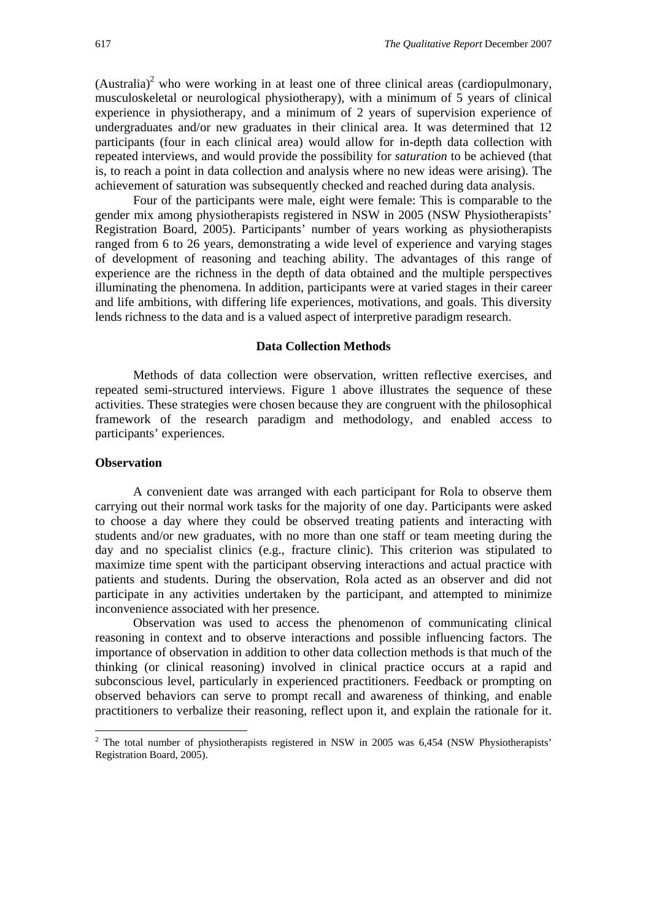$(A$ ustralia)<sup>2</sup> who were working in at least one of three clinical areas (cardiopulmonary, musculoskeletal or neurological physiotherapy), with a minimum of 5 years of clinical experience in physiotherapy, and a minimum of 2 years of supervision experience of undergraduates and/or new graduates in their clinical area. It was determined that 12 participants (four in each clinical area) would allow for in-depth data collection with repeated interviews, and would provide the possibility for *saturation* to be achieved (that is, to reach a point in data collection and analysis where no new ideas were arising). The achievement of saturation was subsequently checked and reached during data analysis.

Four of the participants were male, eight were female: This is comparable to the gender mix among physiotherapists registered in NSW in 2005 (NSW Physiotherapists' Registration Board, 2005). Participants' number of years working as physiotherapists ranged from 6 to 26 years, demonstrating a wide level of experience and varying stages of development of reasoning and teaching ability. The advantages of this range of experience are the richness in the depth of data obtained and the multiple perspectives illuminating the phenomena. In addition, participants were at varied stages in their career and life ambitions, with differing life experiences, motivations, and goals. This diversity lends richness to the data and is a valued aspect of interpretive paradigm research.

#### **Data Collection Methods**

Methods of data collection were observation, written reflective exercises, and repeated semi-structured interviews. Figure 1 above illustrates the sequence of these activities. These strategies were chosen because they are congruent with the philosophical framework of the research paradigm and methodology, and enabled access to participants' experiences.

#### **Observation**

-

A convenient date was arranged with each participant for Rola to observe them carrying out their normal work tasks for the majority of one day. Participants were asked to choose a day where they could be observed treating patients and interacting with students and/or new graduates, with no more than one staff or team meeting during the day and no specialist clinics (e.g., fracture clinic). This criterion was stipulated to maximize time spent with the participant observing interactions and actual practice with patients and students. During the observation, Rola acted as an observer and did not participate in any activities undertaken by the participant, and attempted to minimize inconvenience associated with her presence.

Observation was used to access the phenomenon of communicating clinical reasoning in context and to observe interactions and possible influencing factors. The importance of observation in addition to other data collection methods is that much of the thinking (or clinical reasoning) involved in clinical practice occurs at a rapid and subconscious level, particularly in experienced practitioners. Feedback or prompting on observed behaviors can serve to prompt recall and awareness of thinking, and enable practitioners to verbalize their reasoning, reflect upon it, and explain the rationale for it.

 $2$  The total number of physiotherapists registered in NSW in 2005 was 6,454 (NSW Physiotherapists' Registration Board, 2005).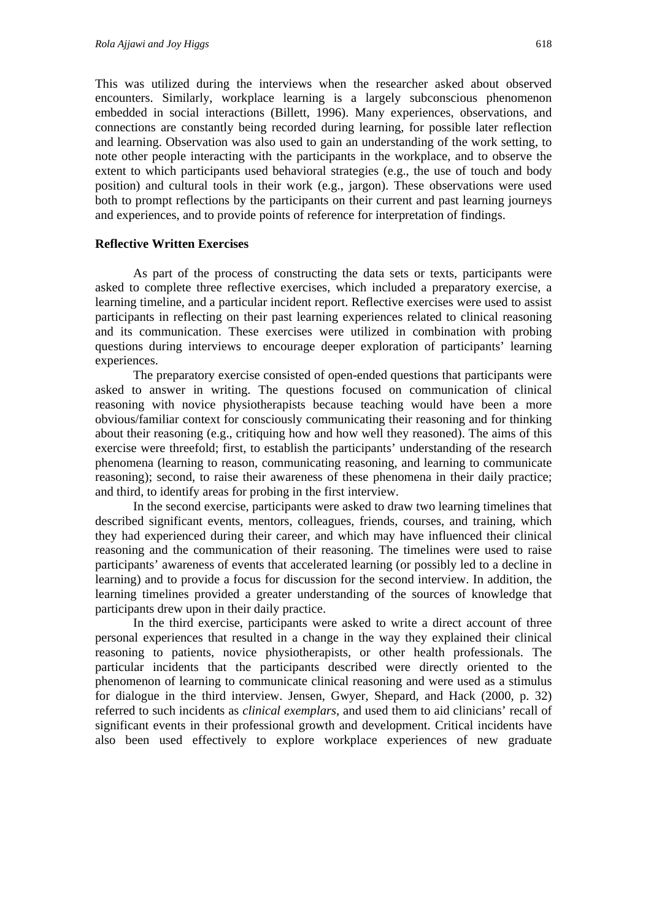This was utilized during the interviews when the researcher asked about observed encounters. Similarly, workplace learning is a largely subconscious phenomenon embedded in social interactions (Billett, 1996). Many experiences, observations, and connections are constantly being recorded during learning, for possible later reflection and learning. Observation was also used to gain an understanding of the work setting, to note other people interacting with the participants in the workplace, and to observe the extent to which participants used behavioral strategies (e.g., the use of touch and body position) and cultural tools in their work (e.g., jargon). These observations were used both to prompt reflections by the participants on their current and past learning journeys and experiences, and to provide points of reference for interpretation of findings.

#### **Reflective Written Exercises**

As part of the process of constructing the data sets or texts, participants were asked to complete three reflective exercises, which included a preparatory exercise, a learning timeline, and a particular incident report. Reflective exercises were used to assist participants in reflecting on their past learning experiences related to clinical reasoning and its communication. These exercises were utilized in combination with probing questions during interviews to encourage deeper exploration of participants' learning experiences.

The preparatory exercise consisted of open-ended questions that participants were asked to answer in writing. The questions focused on communication of clinical reasoning with novice physiotherapists because teaching would have been a more obvious/familiar context for consciously communicating their reasoning and for thinking about their reasoning (e.g., critiquing how and how well they reasoned). The aims of this exercise were threefold; first, to establish the participants' understanding of the research phenomena (learning to reason, communicating reasoning, and learning to communicate reasoning); second, to raise their awareness of these phenomena in their daily practice; and third, to identify areas for probing in the first interview.

In the second exercise, participants were asked to draw two learning timelines that described significant events, mentors, colleagues, friends, courses, and training, which they had experienced during their career, and which may have influenced their clinical reasoning and the communication of their reasoning. The timelines were used to raise participants' awareness of events that accelerated learning (or possibly led to a decline in learning) and to provide a focus for discussion for the second interview. In addition, the learning timelines provided a greater understanding of the sources of knowledge that participants drew upon in their daily practice.

In the third exercise, participants were asked to write a direct account of three personal experiences that resulted in a change in the way they explained their clinical reasoning to patients, novice physiotherapists, or other health professionals. The particular incidents that the participants described were directly oriented to the phenomenon of learning to communicate clinical reasoning and were used as a stimulus for dialogue in the third interview. Jensen, Gwyer, Shepard, and Hack (2000, p. 32) referred to such incidents as *clinical exemplars*, and used them to aid clinicians' recall of significant events in their professional growth and development. Critical incidents have also been used effectively to explore workplace experiences of new graduate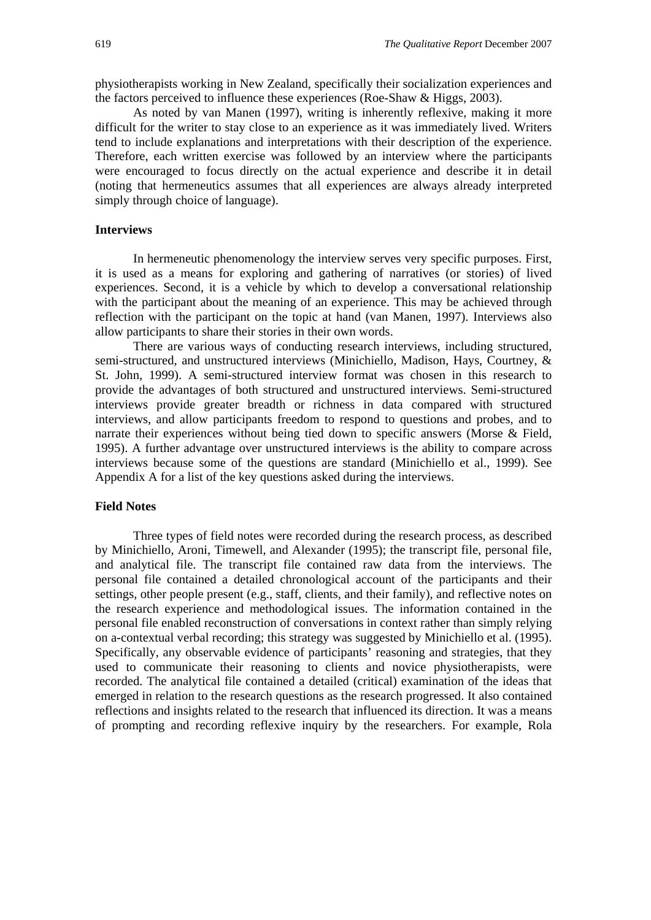physiotherapists working in New Zealand, specifically their socialization experiences and the factors perceived to influence these experiences (Roe-Shaw & Higgs, 2003).

As noted by van Manen (1997), writing is inherently reflexive, making it more difficult for the writer to stay close to an experience as it was immediately lived. Writers tend to include explanations and interpretations with their description of the experience. Therefore, each written exercise was followed by an interview where the participants were encouraged to focus directly on the actual experience and describe it in detail (noting that hermeneutics assumes that all experiences are always already interpreted simply through choice of language).

#### **Interviews**

In hermeneutic phenomenology the interview serves very specific purposes. First, it is used as a means for exploring and gathering of narratives (or stories) of lived experiences. Second, it is a vehicle by which to develop a conversational relationship with the participant about the meaning of an experience. This may be achieved through reflection with the participant on the topic at hand (van Manen, 1997). Interviews also allow participants to share their stories in their own words.

There are various ways of conducting research interviews, including structured, semi-structured, and unstructured interviews (Minichiello, Madison, Hays, Courtney, & St. John, 1999). A semi-structured interview format was chosen in this research to provide the advantages of both structured and unstructured interviews. Semi-structured interviews provide greater breadth or richness in data compared with structured interviews, and allow participants freedom to respond to questions and probes, and to narrate their experiences without being tied down to specific answers (Morse & Field, 1995). A further advantage over unstructured interviews is the ability to compare across interviews because some of the questions are standard (Minichiello et al., 1999). See Appendix A for a list of the key questions asked during the interviews.

#### **Field Notes**

Three types of field notes were recorded during the research process, as described by Minichiello, Aroni, Timewell, and Alexander (1995); the transcript file, personal file, and analytical file. The transcript file contained raw data from the interviews. The personal file contained a detailed chronological account of the participants and their settings, other people present (e.g., staff, clients, and their family), and reflective notes on the research experience and methodological issues. The information contained in the personal file enabled reconstruction of conversations in context rather than simply relying on a-contextual verbal recording; this strategy was suggested by Minichiello et al. (1995). Specifically, any observable evidence of participants' reasoning and strategies, that they used to communicate their reasoning to clients and novice physiotherapists, were recorded. The analytical file contained a detailed (critical) examination of the ideas that emerged in relation to the research questions as the research progressed. It also contained reflections and insights related to the research that influenced its direction. It was a means of prompting and recording reflexive inquiry by the researchers. For example, Rola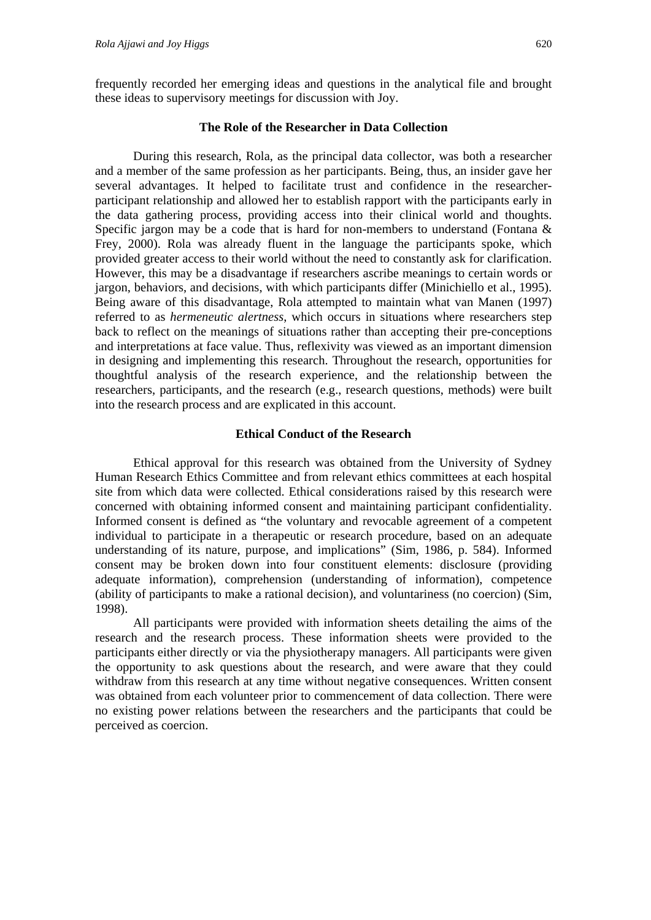frequently recorded her emerging ideas and questions in the analytical file and brought these ideas to supervisory meetings for discussion with Joy.

#### **The Role of the Researcher in Data Collection**

During this research, Rola, as the principal data collector, was both a researcher and a member of the same profession as her participants. Being, thus, an insider gave her several advantages. It helped to facilitate trust and confidence in the researcherparticipant relationship and allowed her to establish rapport with the participants early in the data gathering process, providing access into their clinical world and thoughts. Specific jargon may be a code that is hard for non-members to understand (Fontana  $\&$ Frey, 2000). Rola was already fluent in the language the participants spoke, which provided greater access to their world without the need to constantly ask for clarification. However, this may be a disadvantage if researchers ascribe meanings to certain words or jargon, behaviors, and decisions, with which participants differ (Minichiello et al., 1995). Being aware of this disadvantage, Rola attempted to maintain what van Manen (1997) referred to as *hermeneutic alertness*, which occurs in situations where researchers step back to reflect on the meanings of situations rather than accepting their pre-conceptions and interpretations at face value. Thus, reflexivity was viewed as an important dimension in designing and implementing this research. Throughout the research, opportunities for thoughtful analysis of the research experience, and the relationship between the researchers, participants, and the research (e.g., research questions, methods) were built into the research process and are explicated in this account.

### **Ethical Conduct of the Research**

Ethical approval for this research was obtained from the University of Sydney Human Research Ethics Committee and from relevant ethics committees at each hospital site from which data were collected. Ethical considerations raised by this research were concerned with obtaining informed consent and maintaining participant confidentiality. Informed consent is defined as "the voluntary and revocable agreement of a competent individual to participate in a therapeutic or research procedure, based on an adequate understanding of its nature, purpose, and implications" (Sim, 1986, p. 584). Informed consent may be broken down into four constituent elements: disclosure (providing adequate information), comprehension (understanding of information), competence (ability of participants to make a rational decision), and voluntariness (no coercion) (Sim, 1998).

All participants were provided with information sheets detailing the aims of the research and the research process. These information sheets were provided to the participants either directly or via the physiotherapy managers. All participants were given the opportunity to ask questions about the research, and were aware that they could withdraw from this research at any time without negative consequences. Written consent was obtained from each volunteer prior to commencement of data collection. There were no existing power relations between the researchers and the participants that could be perceived as coercion.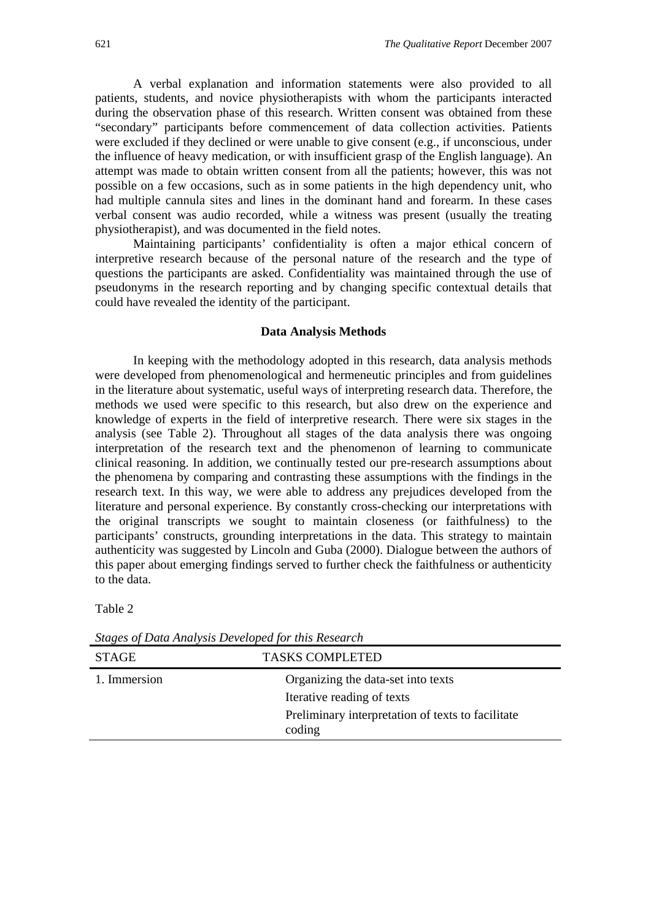A verbal explanation and information statements were also provided to all patients, students, and novice physiotherapists with whom the participants interacted during the observation phase of this research. Written consent was obtained from these "secondary" participants before commencement of data collection activities. Patients were excluded if they declined or were unable to give consent (e.g., if unconscious, under the influence of heavy medication, or with insufficient grasp of the English language). An attempt was made to obtain written consent from all the patients; however, this was not possible on a few occasions, such as in some patients in the high dependency unit, who had multiple cannula sites and lines in the dominant hand and forearm. In these cases verbal consent was audio recorded, while a witness was present (usually the treating physiotherapist), and was documented in the field notes.

Maintaining participants' confidentiality is often a major ethical concern of interpretive research because of the personal nature of the research and the type of questions the participants are asked. Confidentiality was maintained through the use of pseudonyms in the research reporting and by changing specific contextual details that could have revealed the identity of the participant.

#### **Data Analysis Methods**

In keeping with the methodology adopted in this research, data analysis methods were developed from phenomenological and hermeneutic principles and from guidelines in the literature about systematic, useful ways of interpreting research data. Therefore, the methods we used were specific to this research, but also drew on the experience and knowledge of experts in the field of interpretive research. There were six stages in the analysis (see Table 2). Throughout all stages of the data analysis there was ongoing interpretation of the research text and the phenomenon of learning to communicate clinical reasoning. In addition, we continually tested our pre-research assumptions about the phenomena by comparing and contrasting these assumptions with the findings in the research text. In this way, we were able to address any prejudices developed from the literature and personal experience. By constantly cross-checking our interpretations with the original transcripts we sought to maintain closeness (or faithfulness) to the participants' constructs, grounding interpretations in the data. This strategy to maintain authenticity was suggested by Lincoln and Guba (2000). Dialogue between the authors of this paper about emerging findings served to further check the faithfulness or authenticity to the data.

Table 2

| <b>STAGE</b> | <b>TASKS COMPLETED</b>                            |
|--------------|---------------------------------------------------|
| 1. Immersion | Organizing the data-set into texts                |
|              | Iterative reading of texts                        |
|              | Preliminary interpretation of texts to facilitate |
|              | coding                                            |
|              |                                                   |

*Stages of Data Analysis Developed for this Research*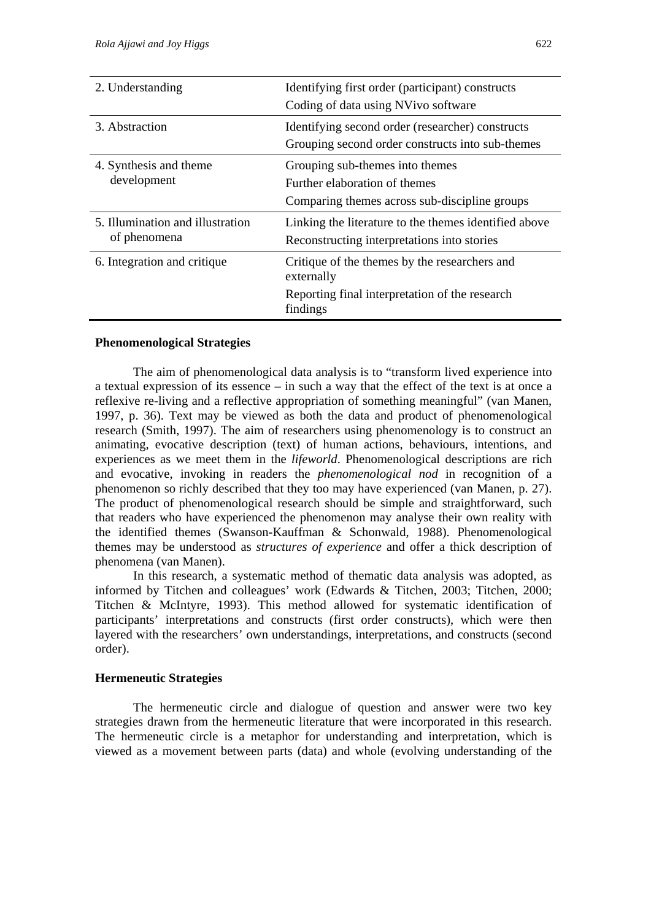| 2. Understanding                                 | Identifying first order (participant) constructs<br>Coding of data using NVivo software                                   |
|--------------------------------------------------|---------------------------------------------------------------------------------------------------------------------------|
| 3. Abstraction                                   | Identifying second order (researcher) constructs<br>Grouping second order constructs into sub-themes                      |
| 4. Synthesis and theme<br>development            | Grouping sub-themes into themes<br>Further elaboration of themes<br>Comparing themes across sub-discipline groups         |
| 5. Illumination and illustration<br>of phenomena | Linking the literature to the themes identified above<br>Reconstructing interpretations into stories                      |
| 6. Integration and critique                      | Critique of the themes by the researchers and<br>externally<br>Reporting final interpretation of the research<br>findings |

#### **Phenomenological Strategies**

The aim of phenomenological data analysis is to "transform lived experience into a textual expression of its essence – in such a way that the effect of the text is at once a reflexive re-living and a reflective appropriation of something meaningful" (van Manen, 1997, p. 36). Text may be viewed as both the data and product of phenomenological research (Smith, 1997). The aim of researchers using phenomenology is to construct an animating, evocative description (text) of human actions, behaviours, intentions, and experiences as we meet them in the *lifeworld*. Phenomenological descriptions are rich and evocative, invoking in readers the *phenomenological nod* in recognition of a phenomenon so richly described that they too may have experienced (van Manen, p. 27). The product of phenomenological research should be simple and straightforward, such that readers who have experienced the phenomenon may analyse their own reality with the identified themes (Swanson-Kauffman & Schonwald, 1988). Phenomenological themes may be understood as *structures of experience* and offer a thick description of phenomena (van Manen).

In this research, a systematic method of thematic data analysis was adopted, as informed by Titchen and colleagues' work (Edwards & Titchen, 2003; Titchen, 2000; Titchen & McIntyre, 1993). This method allowed for systematic identification of participants' interpretations and constructs (first order constructs), which were then layered with the researchers' own understandings, interpretations, and constructs (second order).

#### **Hermeneutic Strategies**

The hermeneutic circle and dialogue of question and answer were two key strategies drawn from the hermeneutic literature that were incorporated in this research. The hermeneutic circle is a metaphor for understanding and interpretation, which is viewed as a movement between parts (data) and whole (evolving understanding of the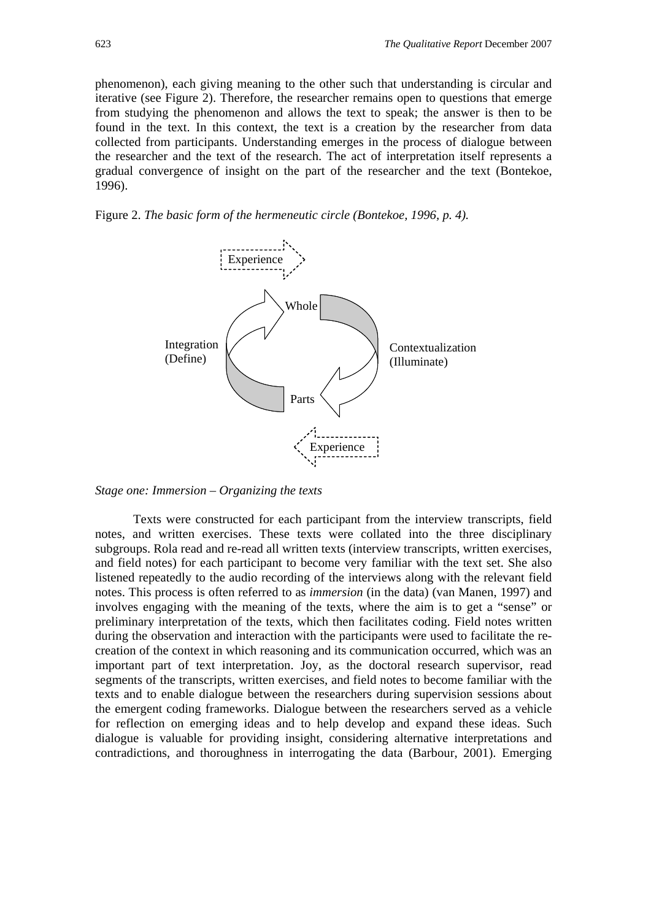phenomenon), each giving meaning to the other such that understanding is circular and iterative (see Figure 2). Therefore, the researcher remains open to questions that emerge from studying the phenomenon and allows the text to speak; the answer is then to be found in the text. In this context, the text is a creation by the researcher from data collected from participants. Understanding emerges in the process of dialogue between the researcher and the text of the research. The act of interpretation itself represents a gradual convergence of insight on the part of the researcher and the text (Bontekoe, 1996).





#### *Stage one: Immersion – Organizing the texts*

Texts were constructed for each participant from the interview transcripts, field notes, and written exercises. These texts were collated into the three disciplinary subgroups. Rola read and re-read all written texts (interview transcripts, written exercises, and field notes) for each participant to become very familiar with the text set. She also listened repeatedly to the audio recording of the interviews along with the relevant field notes. This process is often referred to as *immersion* (in the data) (van Manen, 1997) and involves engaging with the meaning of the texts, where the aim is to get a "sense" or preliminary interpretation of the texts, which then facilitates coding. Field notes written during the observation and interaction with the participants were used to facilitate the recreation of the context in which reasoning and its communication occurred, which was an important part of text interpretation. Joy, as the doctoral research supervisor, read segments of the transcripts, written exercises, and field notes to become familiar with the texts and to enable dialogue between the researchers during supervision sessions about the emergent coding frameworks. Dialogue between the researchers served as a vehicle for reflection on emerging ideas and to help develop and expand these ideas. Such dialogue is valuable for providing insight, considering alternative interpretations and contradictions, and thoroughness in interrogating the data (Barbour, 2001). Emerging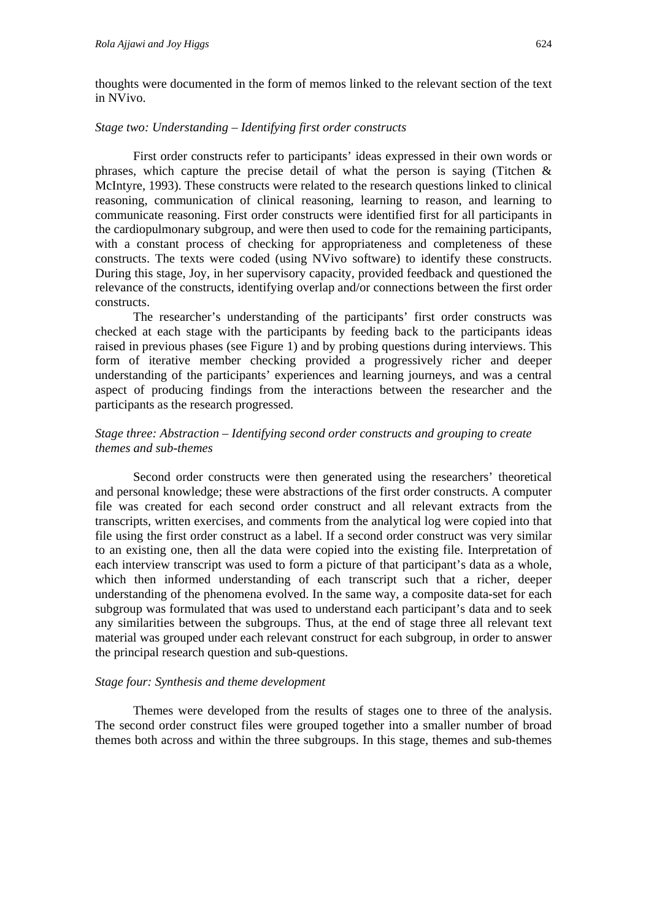thoughts were documented in the form of memos linked to the relevant section of the text in NVivo.

#### *Stage two: Understanding – Identifying first order constructs*

First order constructs refer to participants' ideas expressed in their own words or phrases, which capture the precise detail of what the person is saying (Titchen  $\&$ McIntyre, 1993). These constructs were related to the research questions linked to clinical reasoning, communication of clinical reasoning, learning to reason, and learning to communicate reasoning. First order constructs were identified first for all participants in the cardiopulmonary subgroup, and were then used to code for the remaining participants, with a constant process of checking for appropriateness and completeness of these constructs. The texts were coded (using NVivo software) to identify these constructs. During this stage, Joy, in her supervisory capacity, provided feedback and questioned the relevance of the constructs, identifying overlap and/or connections between the first order constructs.

The researcher's understanding of the participants' first order constructs was checked at each stage with the participants by feeding back to the participants ideas raised in previous phases (see Figure 1) and by probing questions during interviews. This form of iterative member checking provided a progressively richer and deeper understanding of the participants' experiences and learning journeys, and was a central aspect of producing findings from the interactions between the researcher and the participants as the research progressed.

#### *Stage three: Abstraction – Identifying second order constructs and grouping to create themes and sub-themes*

Second order constructs were then generated using the researchers' theoretical and personal knowledge; these were abstractions of the first order constructs. A computer file was created for each second order construct and all relevant extracts from the transcripts, written exercises, and comments from the analytical log were copied into that file using the first order construct as a label. If a second order construct was very similar to an existing one, then all the data were copied into the existing file. Interpretation of each interview transcript was used to form a picture of that participant's data as a whole, which then informed understanding of each transcript such that a richer, deeper understanding of the phenomena evolved. In the same way, a composite data-set for each subgroup was formulated that was used to understand each participant's data and to seek any similarities between the subgroups. Thus, at the end of stage three all relevant text material was grouped under each relevant construct for each subgroup, in order to answer the principal research question and sub-questions.

#### *Stage four: Synthesis and theme development*

Themes were developed from the results of stages one to three of the analysis. The second order construct files were grouped together into a smaller number of broad themes both across and within the three subgroups. In this stage, themes and sub-themes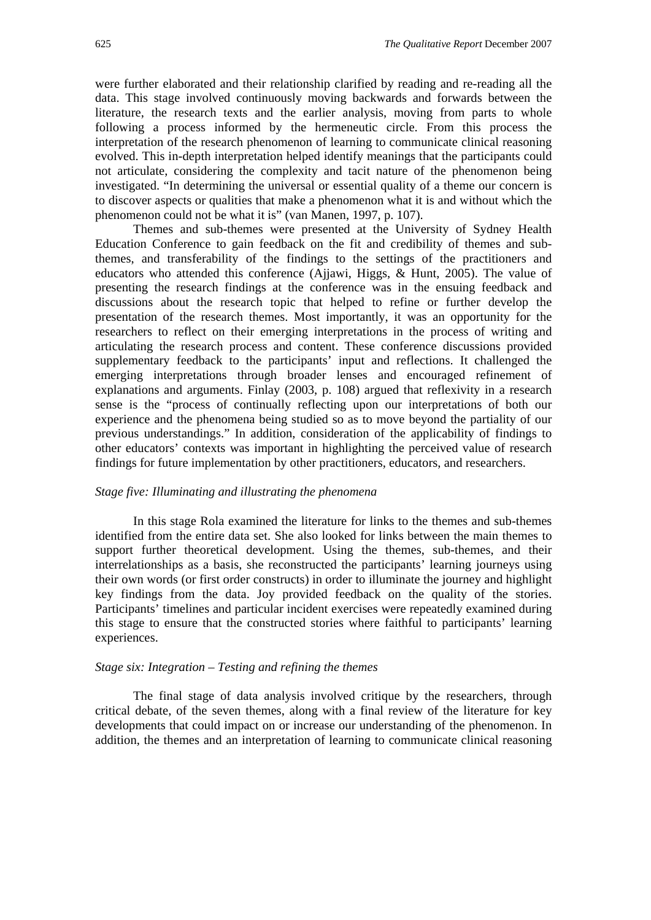were further elaborated and their relationship clarified by reading and re-reading all the data. This stage involved continuously moving backwards and forwards between the literature, the research texts and the earlier analysis, moving from parts to whole following a process informed by the hermeneutic circle. From this process the interpretation of the research phenomenon of learning to communicate clinical reasoning evolved. This in-depth interpretation helped identify meanings that the participants could not articulate, considering the complexity and tacit nature of the phenomenon being investigated. "In determining the universal or essential quality of a theme our concern is to discover aspects or qualities that make a phenomenon what it is and without which the phenomenon could not be what it is" (van Manen, 1997, p. 107).

Themes and sub-themes were presented at the University of Sydney Health Education Conference to gain feedback on the fit and credibility of themes and subthemes, and transferability of the findings to the settings of the practitioners and educators who attended this conference (Ajjawi, Higgs, & Hunt, 2005). The value of presenting the research findings at the conference was in the ensuing feedback and discussions about the research topic that helped to refine or further develop the presentation of the research themes. Most importantly, it was an opportunity for the researchers to reflect on their emerging interpretations in the process of writing and articulating the research process and content. These conference discussions provided supplementary feedback to the participants' input and reflections. It challenged the emerging interpretations through broader lenses and encouraged refinement of explanations and arguments. Finlay (2003, p. 108) argued that reflexivity in a research sense is the "process of continually reflecting upon our interpretations of both our experience and the phenomena being studied so as to move beyond the partiality of our previous understandings." In addition, consideration of the applicability of findings to other educators' contexts was important in highlighting the perceived value of research findings for future implementation by other practitioners, educators, and researchers.

#### *Stage five: Illuminating and illustrating the phenomena*

In this stage Rola examined the literature for links to the themes and sub-themes identified from the entire data set. She also looked for links between the main themes to support further theoretical development. Using the themes, sub-themes, and their interrelationships as a basis, she reconstructed the participants' learning journeys using their own words (or first order constructs) in order to illuminate the journey and highlight key findings from the data. Joy provided feedback on the quality of the stories. Participants' timelines and particular incident exercises were repeatedly examined during this stage to ensure that the constructed stories where faithful to participants' learning experiences.

#### *Stage six: Integration – Testing and refining the themes*

The final stage of data analysis involved critique by the researchers, through critical debate, of the seven themes, along with a final review of the literature for key developments that could impact on or increase our understanding of the phenomenon. In addition, the themes and an interpretation of learning to communicate clinical reasoning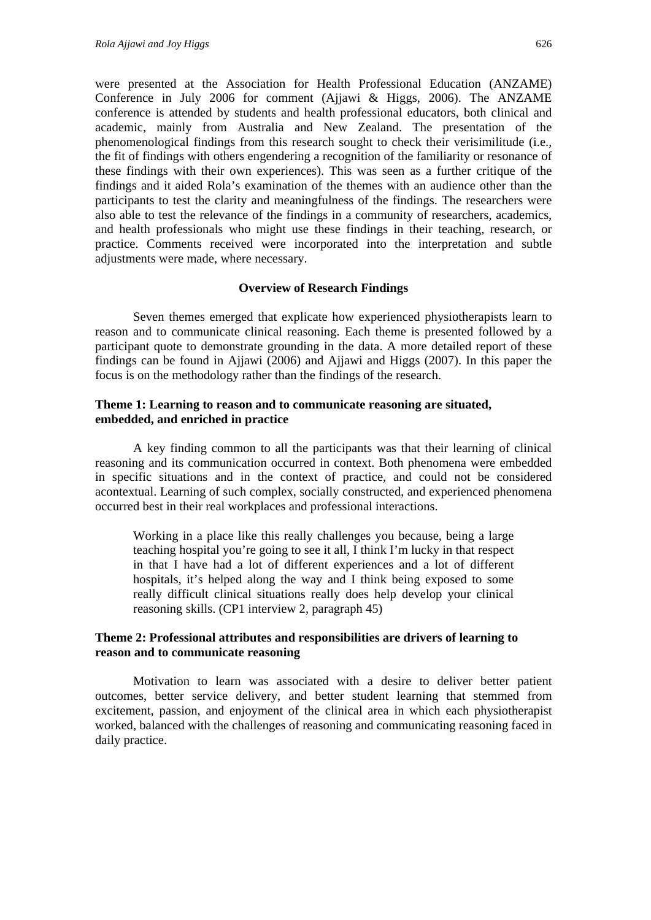were presented at the Association for Health Professional Education (ANZAME) Conference in July 2006 for comment (Ajjawi & Higgs, 2006). The ANZAME conference is attended by students and health professional educators, both clinical and academic, mainly from Australia and New Zealand. The presentation of the phenomenological findings from this research sought to check their verisimilitude (i.e., the fit of findings with others engendering a recognition of the familiarity or resonance of these findings with their own experiences). This was seen as a further critique of the findings and it aided Rola's examination of the themes with an audience other than the participants to test the clarity and meaningfulness of the findings. The researchers were also able to test the relevance of the findings in a community of researchers, academics, and health professionals who might use these findings in their teaching, research, or practice. Comments received were incorporated into the interpretation and subtle adjustments were made, where necessary.

#### **Overview of Research Findings**

Seven themes emerged that explicate how experienced physiotherapists learn to reason and to communicate clinical reasoning. Each theme is presented followed by a participant quote to demonstrate grounding in the data. A more detailed report of these findings can be found in Ajjawi (2006) and Ajjawi and Higgs (2007). In this paper the focus is on the methodology rather than the findings of the research.

#### **Theme 1: Learning to reason and to communicate reasoning are situated, embedded, and enriched in practice**

A key finding common to all the participants was that their learning of clinical reasoning and its communication occurred in context. Both phenomena were embedded in specific situations and in the context of practice, and could not be considered acontextual. Learning of such complex, socially constructed, and experienced phenomena occurred best in their real workplaces and professional interactions.

Working in a place like this really challenges you because, being a large teaching hospital you're going to see it all, I think I'm lucky in that respect in that I have had a lot of different experiences and a lot of different hospitals, it's helped along the way and I think being exposed to some really difficult clinical situations really does help develop your clinical reasoning skills. (CP1 interview 2, paragraph 45)

#### **Theme 2: Professional attributes and responsibilities are drivers of learning to reason and to communicate reasoning**

Motivation to learn was associated with a desire to deliver better patient outcomes, better service delivery, and better student learning that stemmed from excitement, passion, and enjoyment of the clinical area in which each physiotherapist worked, balanced with the challenges of reasoning and communicating reasoning faced in daily practice.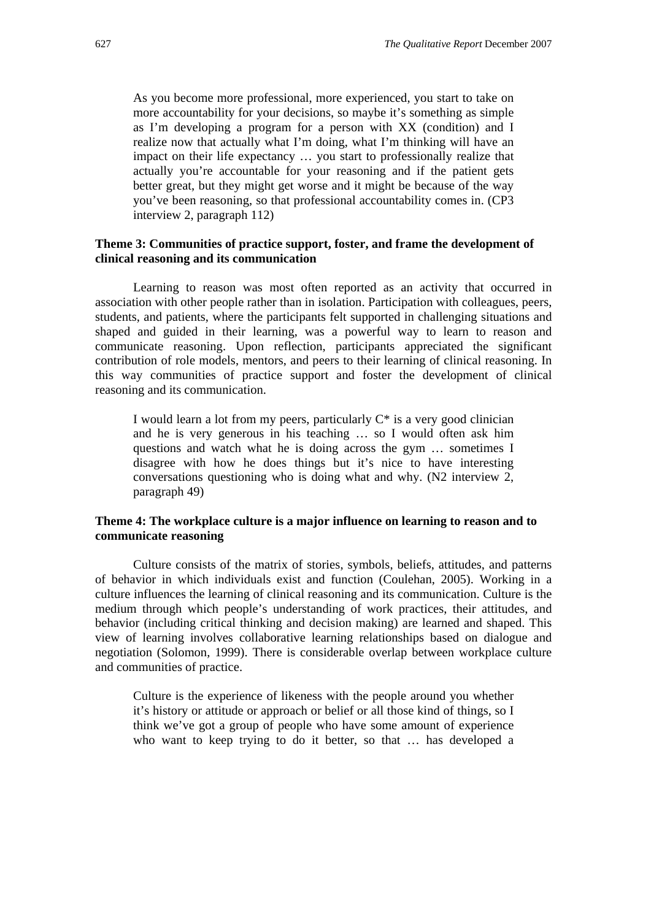As you become more professional, more experienced, you start to take on more accountability for your decisions, so maybe it's something as simple as I'm developing a program for a person with XX (condition) and I realize now that actually what I'm doing, what I'm thinking will have an impact on their life expectancy … you start to professionally realize that actually you're accountable for your reasoning and if the patient gets better great, but they might get worse and it might be because of the way you've been reasoning, so that professional accountability comes in. (CP3 interview 2, paragraph 112)

#### **Theme 3: Communities of practice support, foster, and frame the development of clinical reasoning and its communication**

Learning to reason was most often reported as an activity that occurred in association with other people rather than in isolation. Participation with colleagues, peers, students, and patients, where the participants felt supported in challenging situations and shaped and guided in their learning, was a powerful way to learn to reason and communicate reasoning. Upon reflection, participants appreciated the significant contribution of role models, mentors, and peers to their learning of clinical reasoning. In this way communities of practice support and foster the development of clinical reasoning and its communication.

I would learn a lot from my peers, particularly  $C^*$  is a very good clinician and he is very generous in his teaching … so I would often ask him questions and watch what he is doing across the gym … sometimes I disagree with how he does things but it's nice to have interesting conversations questioning who is doing what and why. (N2 interview 2, paragraph 49)

#### **Theme 4: The workplace culture is a major influence on learning to reason and to communicate reasoning**

Culture consists of the matrix of stories, symbols, beliefs, attitudes, and patterns of behavior in which individuals exist and function (Coulehan, 2005). Working in a culture influences the learning of clinical reasoning and its communication. Culture is the medium through which people's understanding of work practices, their attitudes, and behavior (including critical thinking and decision making) are learned and shaped. This view of learning involves collaborative learning relationships based on dialogue and negotiation (Solomon, 1999). There is considerable overlap between workplace culture and communities of practice.

Culture is the experience of likeness with the people around you whether it's history or attitude or approach or belief or all those kind of things, so I think we've got a group of people who have some amount of experience who want to keep trying to do it better, so that … has developed a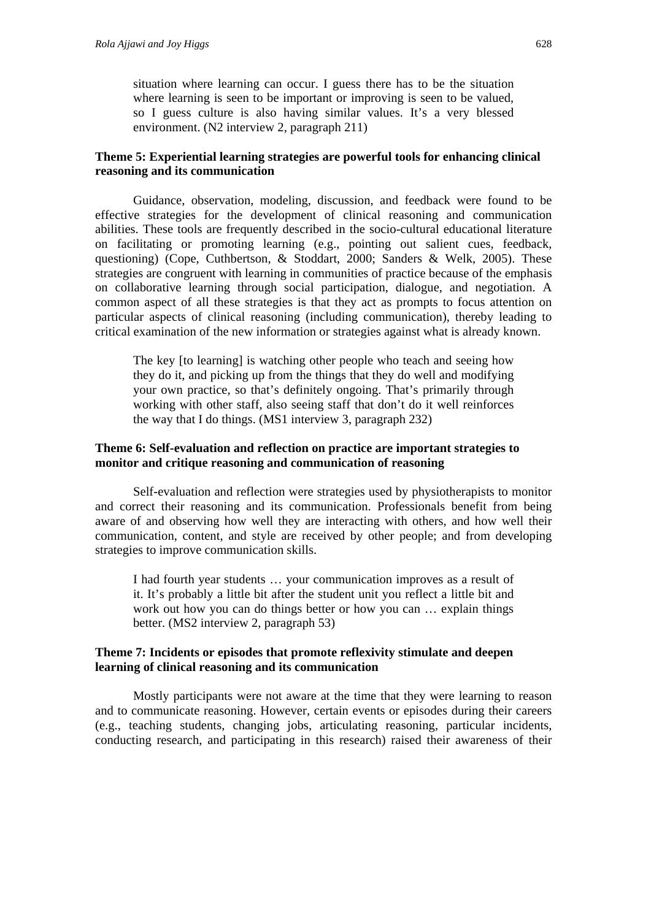situation where learning can occur. I guess there has to be the situation where learning is seen to be important or improving is seen to be valued, so I guess culture is also having similar values. It's a very blessed environment. (N2 interview 2, paragraph 211)

#### **Theme 5: Experiential learning strategies are powerful tools for enhancing clinical reasoning and its communication**

Guidance, observation, modeling, discussion, and feedback were found to be effective strategies for the development of clinical reasoning and communication abilities. These tools are frequently described in the socio-cultural educational literature on facilitating or promoting learning (e.g., pointing out salient cues, feedback, questioning) (Cope, Cuthbertson, & Stoddart, 2000; Sanders & Welk, 2005). These strategies are congruent with learning in communities of practice because of the emphasis on collaborative learning through social participation, dialogue, and negotiation. A common aspect of all these strategies is that they act as prompts to focus attention on particular aspects of clinical reasoning (including communication), thereby leading to critical examination of the new information or strategies against what is already known.

The key [to learning] is watching other people who teach and seeing how they do it, and picking up from the things that they do well and modifying your own practice, so that's definitely ongoing. That's primarily through working with other staff, also seeing staff that don't do it well reinforces the way that I do things. (MS1 interview 3, paragraph 232)

### **Theme 6: Self-evaluation and reflection on practice are important strategies to monitor and critique reasoning and communication of reasoning**

Self-evaluation and reflection were strategies used by physiotherapists to monitor and correct their reasoning and its communication. Professionals benefit from being aware of and observing how well they are interacting with others, and how well their communication, content, and style are received by other people; and from developing strategies to improve communication skills.

I had fourth year students … your communication improves as a result of it. It's probably a little bit after the student unit you reflect a little bit and work out how you can do things better or how you can … explain things better. (MS2 interview 2, paragraph 53)

#### **Theme 7: Incidents or episodes that promote reflexivity stimulate and deepen learning of clinical reasoning and its communication**

Mostly participants were not aware at the time that they were learning to reason and to communicate reasoning. However, certain events or episodes during their careers (e.g., teaching students, changing jobs, articulating reasoning, particular incidents, conducting research, and participating in this research) raised their awareness of their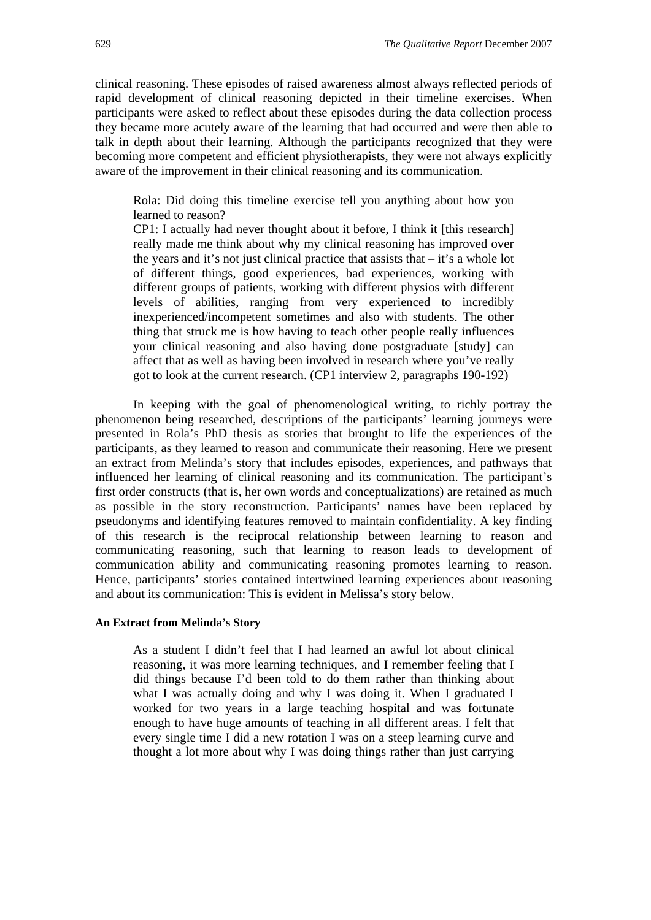clinical reasoning. These episodes of raised awareness almost always reflected periods of rapid development of clinical reasoning depicted in their timeline exercises. When participants were asked to reflect about these episodes during the data collection process they became more acutely aware of the learning that had occurred and were then able to talk in depth about their learning. Although the participants recognized that they were becoming more competent and efficient physiotherapists, they were not always explicitly aware of the improvement in their clinical reasoning and its communication.

Rola: Did doing this timeline exercise tell you anything about how you learned to reason?

CP1: I actually had never thought about it before, I think it [this research] really made me think about why my clinical reasoning has improved over the years and it's not just clinical practice that assists that – it's a whole lot of different things, good experiences, bad experiences, working with different groups of patients, working with different physios with different levels of abilities, ranging from very experienced to incredibly inexperienced/incompetent sometimes and also with students. The other thing that struck me is how having to teach other people really influences your clinical reasoning and also having done postgraduate [study] can affect that as well as having been involved in research where you've really got to look at the current research. (CP1 interview 2, paragraphs 190-192)

In keeping with the goal of phenomenological writing, to richly portray the phenomenon being researched, descriptions of the participants' learning journeys were presented in Rola's PhD thesis as stories that brought to life the experiences of the participants, as they learned to reason and communicate their reasoning. Here we present an extract from Melinda's story that includes episodes, experiences, and pathways that influenced her learning of clinical reasoning and its communication. The participant's first order constructs (that is, her own words and conceptualizations) are retained as much as possible in the story reconstruction. Participants' names have been replaced by pseudonyms and identifying features removed to maintain confidentiality. A key finding of this research is the reciprocal relationship between learning to reason and communicating reasoning, such that learning to reason leads to development of communication ability and communicating reasoning promotes learning to reason. Hence, participants' stories contained intertwined learning experiences about reasoning and about its communication: This is evident in Melissa's story below.

#### **An Extract from Melinda's Story**

As a student I didn't feel that I had learned an awful lot about clinical reasoning, it was more learning techniques, and I remember feeling that I did things because I'd been told to do them rather than thinking about what I was actually doing and why I was doing it. When I graduated I worked for two years in a large teaching hospital and was fortunate enough to have huge amounts of teaching in all different areas. I felt that every single time I did a new rotation I was on a steep learning curve and thought a lot more about why I was doing things rather than just carrying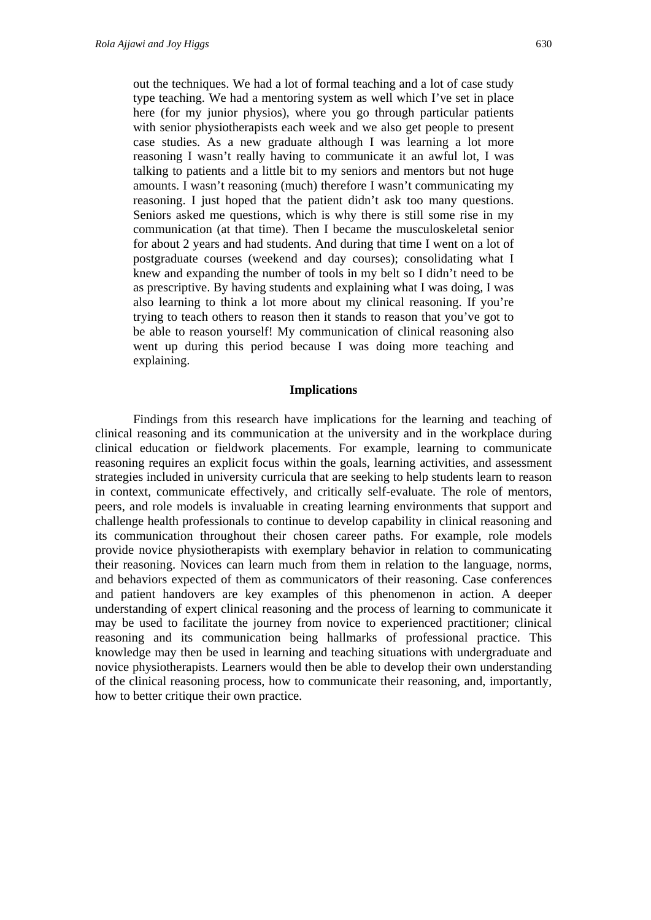out the techniques. We had a lot of formal teaching and a lot of case study type teaching. We had a mentoring system as well which I've set in place here (for my junior physios), where you go through particular patients with senior physiotherapists each week and we also get people to present case studies. As a new graduate although I was learning a lot more reasoning I wasn't really having to communicate it an awful lot, I was talking to patients and a little bit to my seniors and mentors but not huge amounts. I wasn't reasoning (much) therefore I wasn't communicating my reasoning. I just hoped that the patient didn't ask too many questions. Seniors asked me questions, which is why there is still some rise in my communication (at that time). Then I became the musculoskeletal senior for about 2 years and had students. And during that time I went on a lot of postgraduate courses (weekend and day courses); consolidating what I knew and expanding the number of tools in my belt so I didn't need to be as prescriptive. By having students and explaining what I was doing, I was also learning to think a lot more about my clinical reasoning. If you're trying to teach others to reason then it stands to reason that you've got to be able to reason yourself! My communication of clinical reasoning also went up during this period because I was doing more teaching and explaining.

#### **Implications**

Findings from this research have implications for the learning and teaching of clinical reasoning and its communication at the university and in the workplace during clinical education or fieldwork placements. For example, learning to communicate reasoning requires an explicit focus within the goals, learning activities, and assessment strategies included in university curricula that are seeking to help students learn to reason in context, communicate effectively, and critically self-evaluate. The role of mentors, peers, and role models is invaluable in creating learning environments that support and challenge health professionals to continue to develop capability in clinical reasoning and its communication throughout their chosen career paths. For example, role models provide novice physiotherapists with exemplary behavior in relation to communicating their reasoning. Novices can learn much from them in relation to the language, norms, and behaviors expected of them as communicators of their reasoning. Case conferences and patient handovers are key examples of this phenomenon in action. A deeper understanding of expert clinical reasoning and the process of learning to communicate it may be used to facilitate the journey from novice to experienced practitioner; clinical reasoning and its communication being hallmarks of professional practice. This knowledge may then be used in learning and teaching situations with undergraduate and novice physiotherapists. Learners would then be able to develop their own understanding of the clinical reasoning process, how to communicate their reasoning, and, importantly, how to better critique their own practice.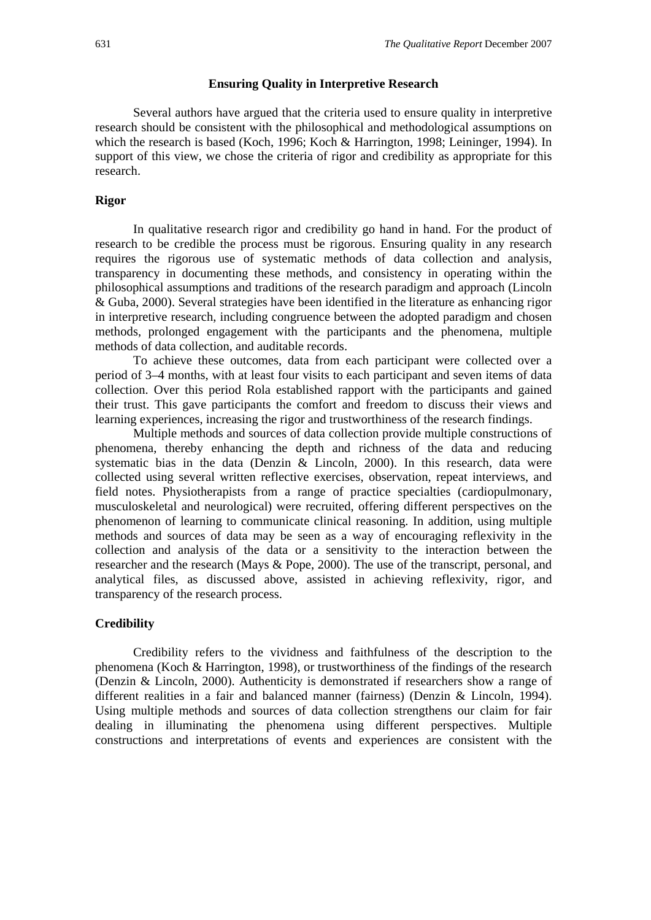#### **Ensuring Quality in Interpretive Research**

Several authors have argued that the criteria used to ensure quality in interpretive research should be consistent with the philosophical and methodological assumptions on which the research is based (Koch, 1996; Koch & Harrington, 1998; Leininger, 1994). In support of this view, we chose the criteria of rigor and credibility as appropriate for this research.

#### **Rigor**

In qualitative research rigor and credibility go hand in hand. For the product of research to be credible the process must be rigorous. Ensuring quality in any research requires the rigorous use of systematic methods of data collection and analysis, transparency in documenting these methods, and consistency in operating within the philosophical assumptions and traditions of the research paradigm and approach (Lincoln & Guba, 2000). Several strategies have been identified in the literature as enhancing rigor in interpretive research, including congruence between the adopted paradigm and chosen methods, prolonged engagement with the participants and the phenomena, multiple methods of data collection, and auditable records.

To achieve these outcomes, data from each participant were collected over a period of 3–4 months, with at least four visits to each participant and seven items of data collection. Over this period Rola established rapport with the participants and gained their trust. This gave participants the comfort and freedom to discuss their views and learning experiences, increasing the rigor and trustworthiness of the research findings.

Multiple methods and sources of data collection provide multiple constructions of phenomena, thereby enhancing the depth and richness of the data and reducing systematic bias in the data (Denzin & Lincoln, 2000). In this research, data were collected using several written reflective exercises, observation, repeat interviews, and field notes. Physiotherapists from a range of practice specialties (cardiopulmonary, musculoskeletal and neurological) were recruited, offering different perspectives on the phenomenon of learning to communicate clinical reasoning. In addition, using multiple methods and sources of data may be seen as a way of encouraging reflexivity in the collection and analysis of the data or a sensitivity to the interaction between the researcher and the research (Mays & Pope, 2000). The use of the transcript, personal, and analytical files, as discussed above, assisted in achieving reflexivity, rigor, and transparency of the research process.

#### **Credibility**

Credibility refers to the vividness and faithfulness of the description to the phenomena (Koch & Harrington, 1998), or trustworthiness of the findings of the research (Denzin & Lincoln, 2000). Authenticity is demonstrated if researchers show a range of different realities in a fair and balanced manner (fairness) (Denzin & Lincoln, 1994). Using multiple methods and sources of data collection strengthens our claim for fair dealing in illuminating the phenomena using different perspectives. Multiple constructions and interpretations of events and experiences are consistent with the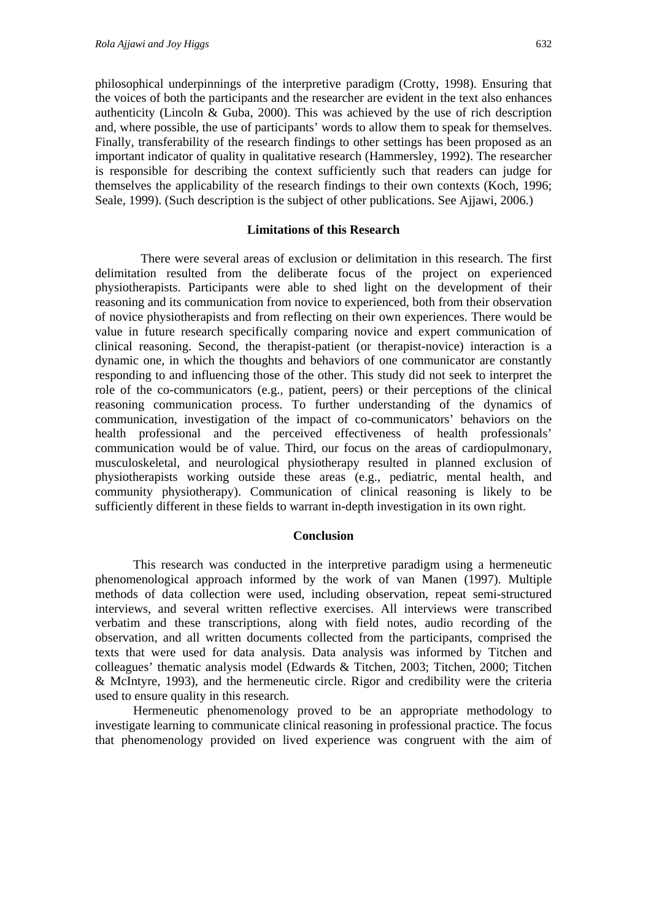philosophical underpinnings of the interpretive paradigm (Crotty, 1998). Ensuring that the voices of both the participants and the researcher are evident in the text also enhances authenticity (Lincoln & Guba, 2000). This was achieved by the use of rich description and, where possible, the use of participants' words to allow them to speak for themselves. Finally, transferability of the research findings to other settings has been proposed as an important indicator of quality in qualitative research (Hammersley, 1992). The researcher is responsible for describing the context sufficiently such that readers can judge for themselves the applicability of the research findings to their own contexts (Koch, 1996; Seale, 1999). (Such description is the subject of other publications. See Ajjawi, 2006.)

#### **Limitations of this Research**

There were several areas of exclusion or delimitation in this research. The first delimitation resulted from the deliberate focus of the project on experienced physiotherapists. Participants were able to shed light on the development of their reasoning and its communication from novice to experienced, both from their observation of novice physiotherapists and from reflecting on their own experiences. There would be value in future research specifically comparing novice and expert communication of clinical reasoning. Second, the therapist-patient (or therapist-novice) interaction is a dynamic one, in which the thoughts and behaviors of one communicator are constantly responding to and influencing those of the other. This study did not seek to interpret the role of the co-communicators (e.g., patient, peers) or their perceptions of the clinical reasoning communication process. To further understanding of the dynamics of communication, investigation of the impact of co-communicators' behaviors on the health professional and the perceived effectiveness of health professionals' communication would be of value. Third, our focus on the areas of cardiopulmonary, musculoskeletal, and neurological physiotherapy resulted in planned exclusion of physiotherapists working outside these areas (e.g., pediatric, mental health, and community physiotherapy). Communication of clinical reasoning is likely to be sufficiently different in these fields to warrant in-depth investigation in its own right.

#### **Conclusion**

This research was conducted in the interpretive paradigm using a hermeneutic phenomenological approach informed by the work of van Manen (1997). Multiple methods of data collection were used, including observation, repeat semi-structured interviews, and several written reflective exercises. All interviews were transcribed verbatim and these transcriptions, along with field notes, audio recording of the observation, and all written documents collected from the participants, comprised the texts that were used for data analysis. Data analysis was informed by Titchen and colleagues' thematic analysis model (Edwards & Titchen, 2003; Titchen, 2000; Titchen & McIntyre, 1993), and the hermeneutic circle. Rigor and credibility were the criteria used to ensure quality in this research.

Hermeneutic phenomenology proved to be an appropriate methodology to investigate learning to communicate clinical reasoning in professional practice. The focus that phenomenology provided on lived experience was congruent with the aim of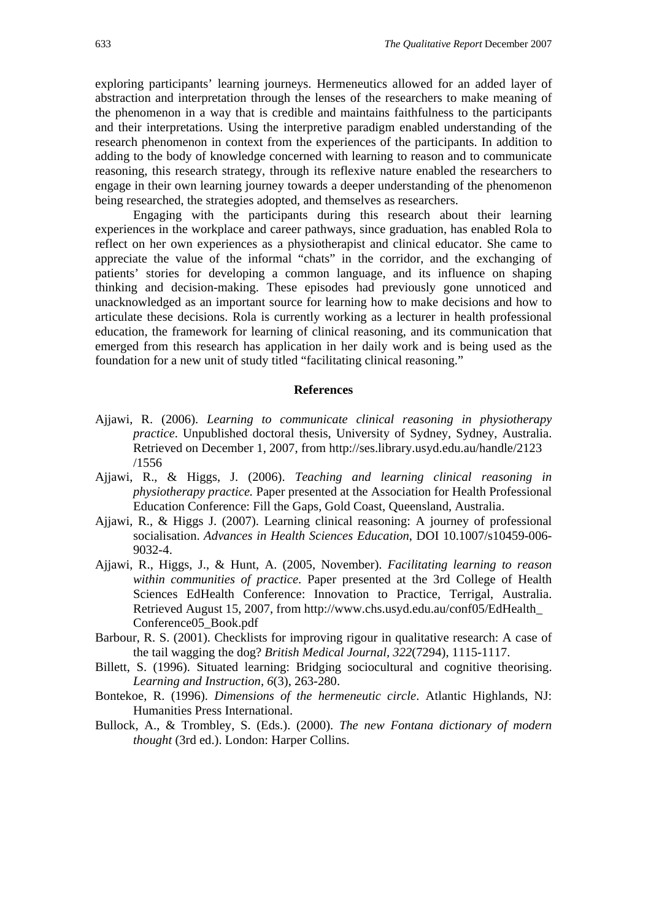exploring participants' learning journeys. Hermeneutics allowed for an added layer of abstraction and interpretation through the lenses of the researchers to make meaning of the phenomenon in a way that is credible and maintains faithfulness to the participants and their interpretations. Using the interpretive paradigm enabled understanding of the research phenomenon in context from the experiences of the participants. In addition to adding to the body of knowledge concerned with learning to reason and to communicate reasoning, this research strategy, through its reflexive nature enabled the researchers to engage in their own learning journey towards a deeper understanding of the phenomenon being researched, the strategies adopted, and themselves as researchers.

Engaging with the participants during this research about their learning experiences in the workplace and career pathways, since graduation, has enabled Rola to reflect on her own experiences as a physiotherapist and clinical educator. She came to appreciate the value of the informal "chats" in the corridor, and the exchanging of patients' stories for developing a common language, and its influence on shaping thinking and decision-making. These episodes had previously gone unnoticed and unacknowledged as an important source for learning how to make decisions and how to articulate these decisions. Rola is currently working as a lecturer in health professional education, the framework for learning of clinical reasoning, and its communication that emerged from this research has application in her daily work and is being used as the foundation for a new unit of study titled "facilitating clinical reasoning."

#### **References**

- Ajjawi, R. (2006). *Learning to communicate clinical reasoning in physiotherapy practice*. Unpublished doctoral thesis, University of Sydney, Sydney, Australia. Retrieved on December 1, 2007, from http://ses.library.usyd.edu.au/handle/2123 /1556
- Ajjawi, R., & Higgs, J. (2006). *Teaching and learning clinical reasoning in physiotherapy practice.* Paper presented at the Association for Health Professional Education Conference: Fill the Gaps, Gold Coast, Queensland, Australia.
- Ajjawi, R., & Higgs J. (2007). Learning clinical reasoning: A journey of professional socialisation. *Advances in Health Sciences Education*, DOI 10.1007/s10459-006- 9032-4.
- Ajjawi, R., Higgs, J., & Hunt, A. (2005, November). *Facilitating learning to reason within communities of practice*. Paper presented at the 3rd College of Health Sciences EdHealth Conference: Innovation to Practice, Terrigal, Australia. Retrieved August 15, 2007, from http://www.chs.usyd.edu.au/conf05/EdHealth\_ Conference05\_Book.pdf
- Barbour, R. S. (2001). Checklists for improving rigour in qualitative research: A case of the tail wagging the dog? *British Medical Journal, 322*(7294), 1115-1117.
- Billett, S. (1996). Situated learning: Bridging sociocultural and cognitive theorising. *Learning and Instruction, 6*(3), 263-280.
- Bontekoe, R. (1996). *Dimensions of the hermeneutic circle*. Atlantic Highlands, NJ: Humanities Press International.
- Bullock, A., & Trombley, S. (Eds.). (2000). *The new Fontana dictionary of modern thought* (3rd ed.). London: Harper Collins.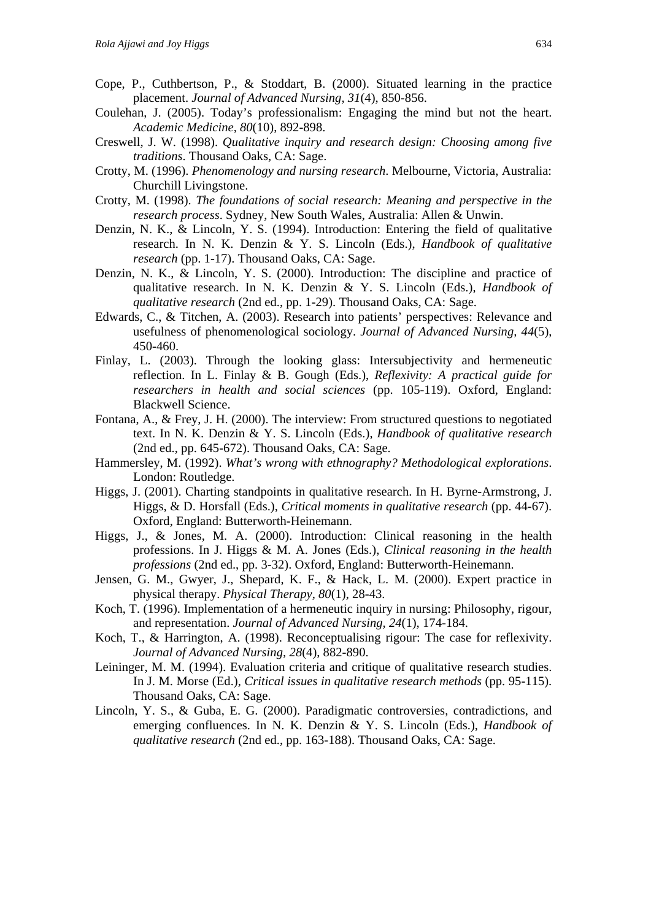- Cope, P., Cuthbertson, P., & Stoddart, B. (2000). Situated learning in the practice placement. *Journal of Advanced Nursing, 31*(4), 850-856.
- Coulehan, J. (2005). Today's professionalism: Engaging the mind but not the heart. *Academic Medicine, 80*(10), 892-898.
- Creswell, J. W. (1998). *Qualitative inquiry and research design: Choosing among five traditions*. Thousand Oaks, CA: Sage.
- Crotty, M. (1996). *Phenomenology and nursing research*. Melbourne, Victoria, Australia: Churchill Livingstone.
- Crotty, M. (1998). *The foundations of social research: Meaning and perspective in the research process*. Sydney, New South Wales, Australia: Allen & Unwin.
- Denzin, N. K., & Lincoln, Y. S. (1994). Introduction: Entering the field of qualitative research. In N. K. Denzin & Y. S. Lincoln (Eds.), *Handbook of qualitative research* (pp. 1-17). Thousand Oaks, CA: Sage.
- Denzin, N. K., & Lincoln, Y. S. (2000). Introduction: The discipline and practice of qualitative research. In N. K. Denzin & Y. S. Lincoln (Eds.), *Handbook of qualitative research* (2nd ed., pp. 1-29). Thousand Oaks, CA: Sage.
- Edwards, C., & Titchen, A. (2003). Research into patients' perspectives: Relevance and usefulness of phenomenological sociology. *Journal of Advanced Nursing, 44*(5), 450-460.
- Finlay, L. (2003). Through the looking glass: Intersubjectivity and hermeneutic reflection. In L. Finlay & B. Gough (Eds.), *Reflexivity: A practical guide for researchers in health and social sciences* (pp. 105-119). Oxford, England: Blackwell Science.
- Fontana, A., & Frey, J. H. (2000). The interview: From structured questions to negotiated text. In N. K. Denzin & Y. S. Lincoln (Eds.), *Handbook of qualitative research* (2nd ed., pp. 645-672). Thousand Oaks, CA: Sage.
- Hammersley, M. (1992). *What's wrong with ethnography? Methodological explorations*. London: Routledge.
- Higgs, J. (2001). Charting standpoints in qualitative research. In H. Byrne-Armstrong, J. Higgs, & D. Horsfall (Eds.), *Critical moments in qualitative research* (pp. 44-67). Oxford, England: Butterworth-Heinemann.
- Higgs, J., & Jones, M. A. (2000). Introduction: Clinical reasoning in the health professions. In J. Higgs & M. A. Jones (Eds.), *Clinical reasoning in the health professions* (2nd ed., pp. 3-32). Oxford, England: Butterworth-Heinemann.
- Jensen, G. M., Gwyer, J., Shepard, K. F., & Hack, L. M. (2000). Expert practice in physical therapy. *Physical Therapy, 80*(1), 28-43.
- Koch, T. (1996). Implementation of a hermeneutic inquiry in nursing: Philosophy, rigour, and representation. *Journal of Advanced Nursing, 24*(1), 174-184.
- Koch, T., & Harrington, A. (1998). Reconceptualising rigour: The case for reflexivity. *Journal of Advanced Nursing, 28*(4), 882-890.
- Leininger, M. M. (1994). Evaluation criteria and critique of qualitative research studies. In J. M. Morse (Ed.), *Critical issues in qualitative research methods* (pp. 95-115). Thousand Oaks, CA: Sage.
- Lincoln, Y. S., & Guba, E. G. (2000). Paradigmatic controversies, contradictions, and emerging confluences. In N. K. Denzin & Y. S. Lincoln (Eds.), *Handbook of qualitative research* (2nd ed., pp. 163-188). Thousand Oaks, CA: Sage.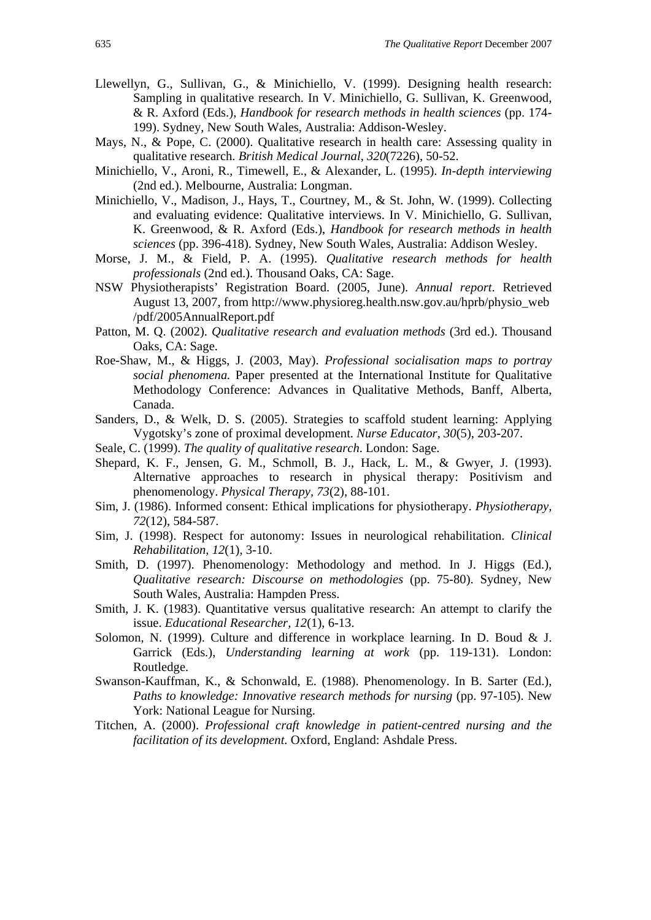- Llewellyn, G., Sullivan, G., & Minichiello, V. (1999). Designing health research: Sampling in qualitative research. In V. Minichiello, G. Sullivan, K. Greenwood, & R. Axford (Eds.), *Handbook for research methods in health sciences* (pp. 174- 199). Sydney, New South Wales, Australia: Addison-Wesley.
- Mays, N., & Pope, C. (2000). Qualitative research in health care: Assessing quality in qualitative research. *British Medical Journal, 320*(7226), 50-52.
- Minichiello, V., Aroni, R., Timewell, E., & Alexander, L. (1995). *In-depth interviewing* (2nd ed.). Melbourne, Australia: Longman.
- Minichiello, V., Madison, J., Hays, T., Courtney, M., & St. John, W. (1999). Collecting and evaluating evidence: Qualitative interviews. In V. Minichiello, G. Sullivan, K. Greenwood, & R. Axford (Eds.), *Handbook for research methods in health sciences* (pp. 396-418). Sydney, New South Wales, Australia: Addison Wesley.
- Morse, J. M., & Field, P. A. (1995). *Qualitative research methods for health professionals* (2nd ed.). Thousand Oaks, CA: Sage.
- NSW Physiotherapists' Registration Board. (2005, June). *Annual report*. Retrieved August 13, 2007, from http://www.physioreg.health.nsw.gov.au/hprb/physio\_web /pdf/2005AnnualReport.pdf
- Patton, M. Q. (2002). *Qualitative research and evaluation methods* (3rd ed.). Thousand Oaks, CA: Sage.
- Roe-Shaw, M., & Higgs, J. (2003, May). *Professional socialisation maps to portray social phenomena.* Paper presented at the International Institute for Qualitative Methodology Conference: Advances in Qualitative Methods, Banff, Alberta, Canada.
- Sanders, D., & Welk, D. S. (2005). Strategies to scaffold student learning: Applying Vygotsky's zone of proximal development. *Nurse Educator, 30*(5), 203-207.
- Seale, C. (1999). *The quality of qualitative research*. London: Sage.
- Shepard, K. F., Jensen, G. M., Schmoll, B. J., Hack, L. M., & Gwyer, J. (1993). Alternative approaches to research in physical therapy: Positivism and phenomenology. *Physical Therapy, 73*(2), 88-101.
- Sim, J. (1986). Informed consent: Ethical implications for physiotherapy. *Physiotherapy, 72*(12), 584-587.
- Sim, J. (1998). Respect for autonomy: Issues in neurological rehabilitation. *Clinical Rehabilitation, 12*(1), 3-10.
- Smith, D. (1997). Phenomenology: Methodology and method. In J. Higgs (Ed.), *Qualitative research: Discourse on methodologies* (pp. 75-80). Sydney, New South Wales, Australia: Hampden Press.
- Smith, J. K. (1983). Quantitative versus qualitative research: An attempt to clarify the issue. *Educational Researcher, 12*(1), 6-13.
- Solomon, N. (1999). Culture and difference in workplace learning. In D. Boud & J. Garrick (Eds.), *Understanding learning at work* (pp. 119-131). London: Routledge.
- Swanson-Kauffman, K., & Schonwald, E. (1988). Phenomenology. In B. Sarter (Ed.), *Paths to knowledge: Innovative research methods for nursing* (pp. 97-105). New York: National League for Nursing.
- Titchen, A. (2000). *Professional craft knowledge in patient-centred nursing and the facilitation of its development*. Oxford, England: Ashdale Press.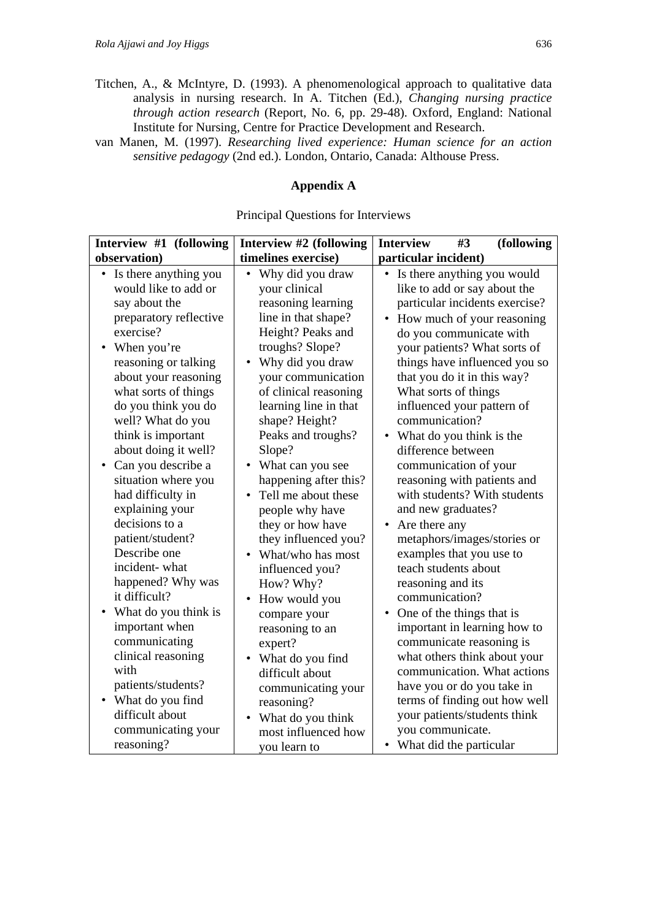- Titchen, A., & McIntyre, D. (1993). A phenomenological approach to qualitative data analysis in nursing research. In A. Titchen (Ed.), *Changing nursing practice through action research* (Report, No. 6, pp. 29-48). Oxford, England: National Institute for Nursing, Centre for Practice Development and Research.
- van Manen, M. (1997). *Researching lived experience: Human science for an action sensitive pedagogy* (2nd ed.). London, Ontario, Canada: Althouse Press.

## **Appendix A**

#### Principal Questions for Interviews

| Interview #1 (following                                                                                                                                                                                                                                                                                                                                                                                                                                                                                                                                                     | Interview #2 (following                                                                                                                                                                                                                                                                                                                                                                                                                                                                                                                                                        | <b>Interview</b><br>(following<br>#3                                                                                                                                                                                                                                                                                                                                                                                                                                                                                                                                                                                                                                                                                                                                              |
|-----------------------------------------------------------------------------------------------------------------------------------------------------------------------------------------------------------------------------------------------------------------------------------------------------------------------------------------------------------------------------------------------------------------------------------------------------------------------------------------------------------------------------------------------------------------------------|--------------------------------------------------------------------------------------------------------------------------------------------------------------------------------------------------------------------------------------------------------------------------------------------------------------------------------------------------------------------------------------------------------------------------------------------------------------------------------------------------------------------------------------------------------------------------------|-----------------------------------------------------------------------------------------------------------------------------------------------------------------------------------------------------------------------------------------------------------------------------------------------------------------------------------------------------------------------------------------------------------------------------------------------------------------------------------------------------------------------------------------------------------------------------------------------------------------------------------------------------------------------------------------------------------------------------------------------------------------------------------|
| observation)                                                                                                                                                                                                                                                                                                                                                                                                                                                                                                                                                                | timelines exercise)                                                                                                                                                                                                                                                                                                                                                                                                                                                                                                                                                            | particular incident)                                                                                                                                                                                                                                                                                                                                                                                                                                                                                                                                                                                                                                                                                                                                                              |
| • Is there anything you<br>would like to add or<br>say about the<br>preparatory reflective<br>exercise?<br>When you're<br>reasoning or talking<br>about your reasoning<br>what sorts of things<br>do you think you do<br>well? What do you<br>think is important<br>about doing it well?<br>Can you describe a<br>situation where you<br>had difficulty in<br>explaining your<br>decisions to a<br>patient/student?<br>Describe one<br>incident-what<br>happened? Why was<br>it difficult?<br>What do you think is<br>important when<br>communicating<br>clinical reasoning | Why did you draw<br>٠<br>your clinical<br>reasoning learning<br>line in that shape?<br>Height? Peaks and<br>troughs? Slope?<br>Why did you draw<br>your communication<br>of clinical reasoning<br>learning line in that<br>shape? Height?<br>Peaks and troughs?<br>Slope?<br>What can you see<br>happening after this?<br>Tell me about these<br>$\bullet$<br>people why have<br>they or how have<br>they influenced you?<br>What/who has most<br>influenced you?<br>How? Why?<br>How would you<br>$\bullet$<br>compare your<br>reasoning to an<br>expert?<br>What do you find | Is there anything you would<br>like to add or say about the<br>particular incidents exercise?<br>How much of your reasoning<br>$\bullet$<br>do you communicate with<br>your patients? What sorts of<br>things have influenced you so<br>that you do it in this way?<br>What sorts of things<br>influenced your pattern of<br>communication?<br>What do you think is the<br>difference between<br>communication of your<br>reasoning with patients and<br>with students? With students<br>and new graduates?<br>Are there any<br>metaphors/images/stories or<br>examples that you use to<br>teach students about<br>reasoning and its<br>communication?<br>• One of the things that is<br>important in learning how to<br>communicate reasoning is<br>what others think about your |
| with<br>patients/students?<br>What do you find<br>$\bullet$<br>difficult about                                                                                                                                                                                                                                                                                                                                                                                                                                                                                              | difficult about<br>communicating your<br>reasoning?<br>What do you think<br>$\bullet$                                                                                                                                                                                                                                                                                                                                                                                                                                                                                          | communication. What actions<br>have you or do you take in<br>terms of finding out how well<br>your patients/students think                                                                                                                                                                                                                                                                                                                                                                                                                                                                                                                                                                                                                                                        |
| communicating your<br>reasoning?                                                                                                                                                                                                                                                                                                                                                                                                                                                                                                                                            | most influenced how<br>vou learn to                                                                                                                                                                                                                                                                                                                                                                                                                                                                                                                                            | you communicate.<br>• What did the particular                                                                                                                                                                                                                                                                                                                                                                                                                                                                                                                                                                                                                                                                                                                                     |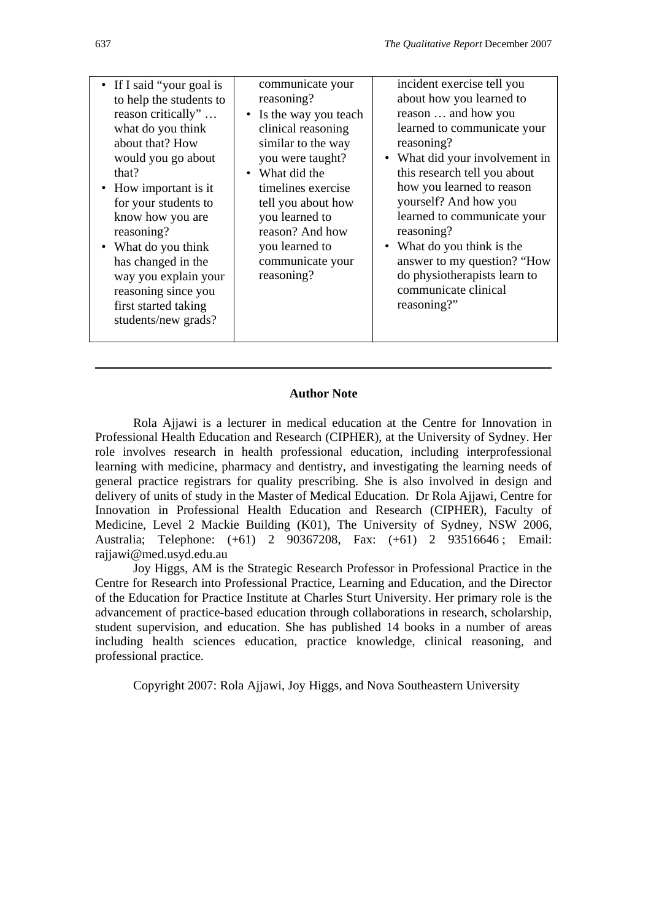| • If I said "your goal is<br>to help the students to<br>reason critically"<br>what do you think<br>about that? How<br>would you go about<br>that?<br>How important is it<br>for your students to<br>know how you are<br>reasoning?<br>What do you think<br>has changed in the<br>way you explain your<br>reasoning since you<br>first started taking<br>students/new grads? | communicate your<br>reasoning?<br>• Is the way you teach<br>clinical reasoning<br>similar to the way<br>you were taught?<br>• What did the<br>timelines exercise<br>tell you about how<br>you learned to<br>reason? And how<br>you learned to<br>communicate your<br>reasoning? | incident exercise tell you<br>about how you learned to<br>reason  and how you<br>learned to communicate your<br>reasoning?<br>• What did your involvement in<br>this research tell you about<br>how you learned to reason<br>yourself? And how you<br>learned to communicate your<br>reasoning?<br>What do you think is the<br>answer to my question? "How<br>do physiotherapists learn to<br>communicate clinical<br>reasoning?" |
|-----------------------------------------------------------------------------------------------------------------------------------------------------------------------------------------------------------------------------------------------------------------------------------------------------------------------------------------------------------------------------|---------------------------------------------------------------------------------------------------------------------------------------------------------------------------------------------------------------------------------------------------------------------------------|-----------------------------------------------------------------------------------------------------------------------------------------------------------------------------------------------------------------------------------------------------------------------------------------------------------------------------------------------------------------------------------------------------------------------------------|
|-----------------------------------------------------------------------------------------------------------------------------------------------------------------------------------------------------------------------------------------------------------------------------------------------------------------------------------------------------------------------------|---------------------------------------------------------------------------------------------------------------------------------------------------------------------------------------------------------------------------------------------------------------------------------|-----------------------------------------------------------------------------------------------------------------------------------------------------------------------------------------------------------------------------------------------------------------------------------------------------------------------------------------------------------------------------------------------------------------------------------|

#### **Author Note**

Rola Ajjawi is a lecturer in medical education at the Centre for Innovation in Professional Health Education and Research (CIPHER), at the University of Sydney. Her role involves research in health professional education, including interprofessional learning with medicine, pharmacy and dentistry, and investigating the learning needs of general practice registrars for quality prescribing. She is also involved in design and delivery of units of study in the Master of Medical Education. Dr Rola Ajjawi, Centre for Innovation in Professional Health Education and Research (CIPHER), Faculty of Medicine, Level 2 Mackie Building (K01), The University of Sydney, NSW 2006, Australia; Telephone: (+61) 2 90367208, Fax: (+61) 2 93516646 ; Email: rajjawi@med.usyd.edu.au

Joy Higgs, AM is the Strategic Research Professor in Professional Practice in the Centre for Research into Professional Practice, Learning and Education, and the Director of the Education for Practice Institute at Charles Sturt University. Her primary role is the advancement of practice-based education through collaborations in research, scholarship, student supervision, and education. She has published 14 books in a number of areas including health sciences education, practice knowledge, clinical reasoning, and professional practice.

Copyright 2007: Rola Ajjawi, Joy Higgs, and Nova Southeastern University